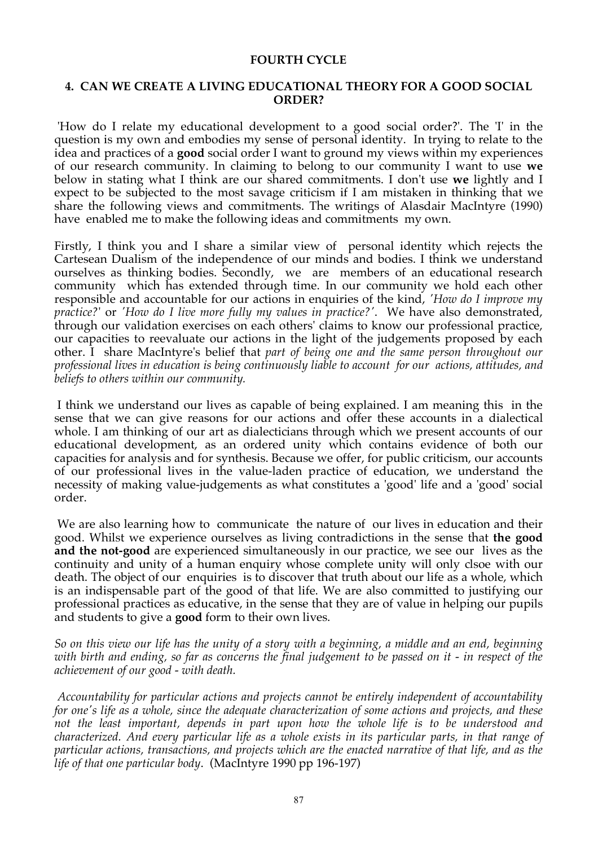# **FOURTH CYCLE**

# **4. CAN WE CREATE A LIVING EDUCATIONAL THEORY FOR A GOOD SOCIAL ORDER?**

'How do I relate my educational development to a good social order?'. The 'I' in the question is my own and embodies my sense of personal identity. In trying to relate to the idea and practices of a **good** social order I want to ground my views within my experiences of our research community. In claiming to belong to our community I want to use **we** below in stating what I think are our shared commitments. I don't use **we** lightly and I expect to be subjected to the most savage criticism if I am mistaken in thinking that we share the following views and commitments. The writings of Alasdair MacIntyre (1990) have enabled me to make the following ideas and commitments my own.

Firstly, I think you and I share a similar view of personal identity which rejects the Cartesean Dualism of the independence of our minds and bodies. I think we understand ourselves as thinking bodies. Secondly, we are members of an educational research community which has extended through time. In our community we hold each other responsible and accountable for our actions in enquiries of the kind, *'How do I improve my practice?*' or *'How do I live more fully my values in practice?'*. We have also demonstrated, through our validation exercises on each others' claims to know our professional practice, our capacities to reevaluate our actions in the light of the judgements proposed by each other. I share MacIntyre's belief that *part of being one and the same person throughout our professional lives in education is being continuously liable to account for our actions, attitudes, and beliefs to others within our community.*

I think we understand our lives as capable of being explained. I am meaning this in the sense that we can give reasons for our actions and offer these accounts in a dialectical whole. I am thinking of our art as dialecticians through which we present accounts of our educational development, as an ordered unity which contains evidence of both our capacities for analysis and for synthesis. Because we offer, for public criticism, our accounts of our professional lives in the value-laden practice of education, we understand the necessity of making value-judgements as what constitutes a 'good' life and a 'good' social order.

We are also learning how to communicate the nature of our lives in education and their good. Whilst we experience ourselves as living contradictions in the sense that **the good and the not-good** are experienced simultaneously in our practice, we see our lives as the continuity and unity of a human enquiry whose complete unity will only clsoe with our death. The object of our enquiries is to discover that truth about our life as a whole, which is an indispensable part of the good of that life. We are also committed to justifying our professional practices as educative, in the sense that they are of value in helping our pupils and students to give a **good** form to their own lives.

So on this view our life has the unity of a story with a beginning, a middle and an end, beginning *with birth and ending, so far as concerns the final judgement to be passed on it - in respect of the achievement of our good - with death.*

*Accountability for particular actions and projects cannot be entirely independent of accountability for one's life as a whole, since the adequate characterization of some actions and projects, and these not the least important, depends in part upon how the whole life is to be understood and characterized. And every particular life as a whole exists in its particular parts, in that range of particular actions, transactions, and projects which are the enacted narrative of that life, and as the life of that one particular body*. (MacIntyre 1990 pp 196-197)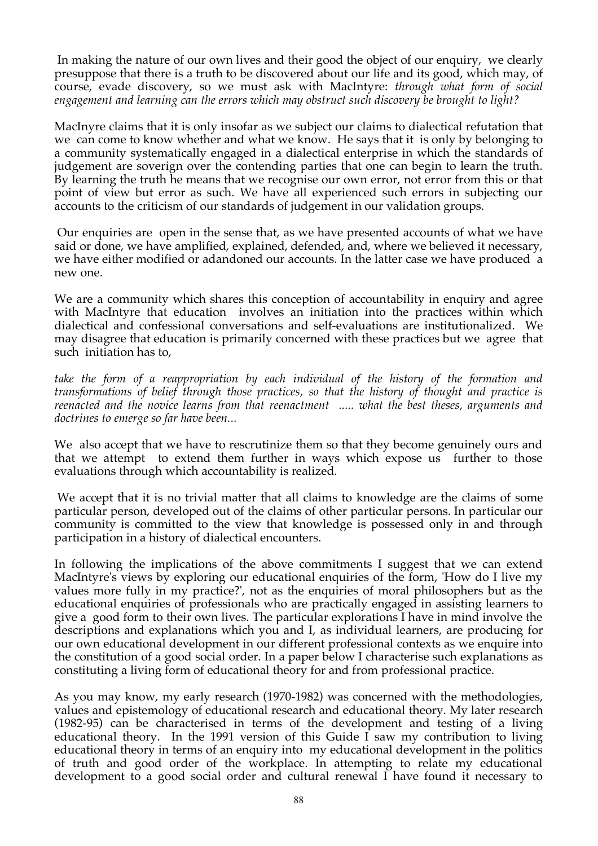In making the nature of our own lives and their good the object of our enquiry, we clearly presuppose that there is a truth to be discovered about our life and its good, which may, of course, evade discovery, so we must ask with MacIntyre: *through what form of social engagement and learning can the errors which may obstruct such discovery be brought to light?*

MacInyre claims that it is only insofar as we subject our claims to dialectical refutation that we can come to know whether and what we know. He says that it is only by belonging to a community systematically engaged in a dialectical enterprise in which the standards of judgement are soverign over the contending parties that one can begin to learn the truth. By learning the truth he means that we recognise our own error, not error from this or that point of view but error as such. We have all experienced such errors in subjecting our accounts to the criticism of our standards of judgement in our validation groups.

Our enquiries are open in the sense that, as we have presented accounts of what we have said or done, we have amplified, explained, defended, and, where we believed it necessary, we have either modified or adandoned our accounts. In the latter case we have produced a new one.

We are a community which shares this conception of accountability in enquiry and agree with MacIntyre that education involves an initiation into the practices within which dialectical and confessional conversations and self-evaluations are institutionalized. We may disagree that education is primarily concerned with these practices but we agree that such initiation has to,

*take the form of a reappropriation by each individual of the history of the formation and transformations of belief through those practices, so that the history of thought and practice is reenacted and the novice learns from that reenactment ..... what the best theses, arguments and doctrines to emerge so far have been...*

We also accept that we have to rescrutinize them so that they become genuinely ours and that we attempt to extend them further in ways which expose us further to those evaluations through which accountability is realized.

We accept that it is no trivial matter that all claims to knowledge are the claims of some particular person, developed out of the claims of other particular persons. In particular our community is committed to the view that knowledge is possessed only in and through participation in a history of dialectical encounters.

In following the implications of the above commitments I suggest that we can extend MacIntyre's views by exploring our educational enquiries of the form, 'How do I live my values more fully in my practice?', not as the enquiries of moral philosophers but as the educational enquiries of professionals who are practically engaged in assisting learners to give a good form to their own lives. The particular explorations I have in mind involve the descriptions and explanations which you and I, as individual learners, are producing for our own educational development in our different professional contexts as we enquire into the constitution of a good social order. In a paper below I characterise such explanations as constituting a living form of educational theory for and from professional practice.

As you may know, my early research (1970-1982) was concerned with the methodologies, values and epistemology of educational research and educational theory. My later research (1982-95) can be characterised in terms of the development and testing of a living educational theory. In the 1991 version of this Guide I saw my contribution to living educational theory in terms of an enquiry into my educational development in the politics of truth and good order of the workplace. In attempting to relate my educational development to a good social order and cultural renewal I have found it necessary to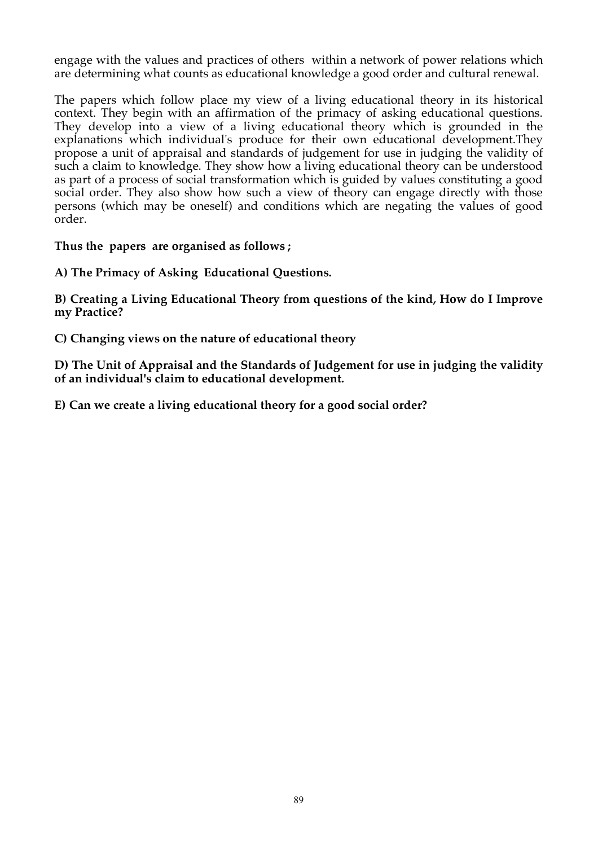engage with the values and practices of others within a network of power relations which are determining what counts as educational knowledge a good order and cultural renewal.

The papers which follow place my view of a living educational theory in its historical context. They begin with an affirmation of the primacy of asking educational questions. They develop into a view of a living educational theory which is grounded in the explanations which individual's produce for their own educational development.They propose a unit of appraisal and standards of judgement for use in judging the validity of such a claim to knowledge. They show how a living educational theory can be understood as part of a process of social transformation which is guided by values constituting a good social order. They also show how such a view of theory can engage directly with those persons (which may be oneself) and conditions which are negating the values of good order.

**Thus the papers are organised as follows ;**

**A) The Primacy of Asking Educational Questions.**

**B) Creating a Living Educational Theory from questions of the kind, How do I Improve my Practice?**

**C) Changing views on the nature of educational theory**

**D) The Unit of Appraisal and the Standards of Judgement for use in judging the validity of an individual's claim to educational development.**

**E) Can we create a living educational theory for a good social order?**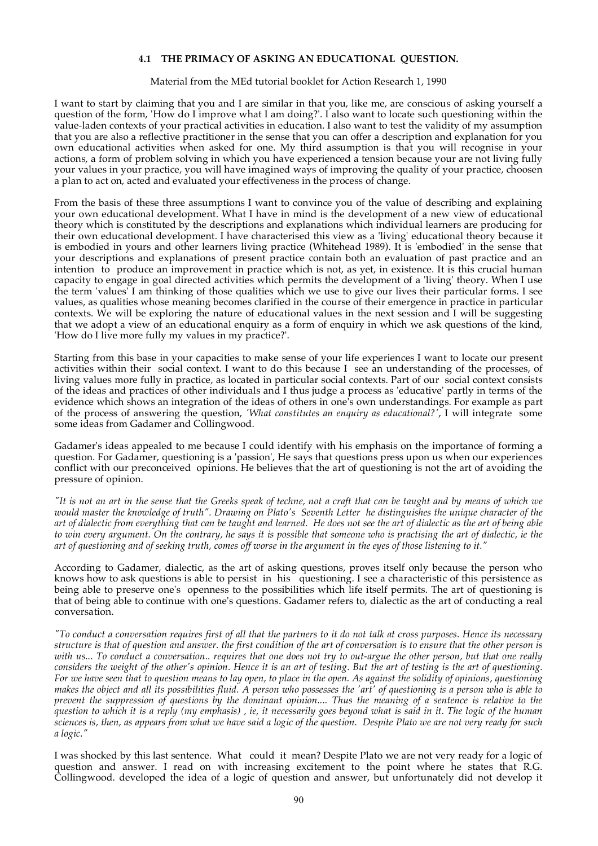## **4.1 THE PRIMACY OF ASKING AN EDUCATIONAL QUESTION.**

## Material from the MEd tutorial booklet for Action Research 1, 1990

I want to start by claiming that you and I are similar in that you, like me, are conscious of asking yourself a question of the form, 'How do I improve what I am doing?'. I also want to locate such questioning within the value-laden contexts of your practical activities in education. I also want to test the validity of my assumption that you are also a reflective practitioner in the sense that you can offer a description and explanation for you own educational activities when asked for one. My third assumption is that you will recognise in your actions, a form of problem solving in which you have experienced a tension because your are not living fully your values in your practice, you will have imagined ways of improving the quality of your practice, choosen a plan to act on, acted and evaluated your effectiveness in the process of change.

From the basis of these three assumptions I want to convince you of the value of describing and explaining your own educational development. What I have in mind is the development of a new view of educational theory which is constituted by the descriptions and explanations which individual learners are producing for their own educational development. I have characterised this view as a 'living' educational theory because it is embodied in yours and other learners living practice (Whitehead 1989). It is 'embodied' in the sense that your descriptions and explanations of present practice contain both an evaluation of past practice and an intention to produce an improvement in practice which is not, as yet, in existence. It is this crucial human capacity to engage in goal directed activities which permits the development of a 'living' theory. When I use the term 'values' I am thinking of those qualities which we use to give our lives their particular forms. I see values, as qualities whose meaning becomes clarified in the course of their emergence in practice in particular contexts. We will be exploring the nature of educational values in the next session and I will be suggesting that we adopt a view of an educational enquiry as a form of enquiry in which we ask questions of the kind, 'How do I live more fully my values in my practice?'.

Starting from this base in your capacities to make sense of your life experiences I want to locate our present activities within their social context. I want to do this because I see an understanding of the processes, of living values more fully in practice, as located in particular social contexts. Part of our social context consists of the ideas and practices of other individuals and I thus judge a process as 'educative' partly in terms of the evidence which shows an integration of the ideas of others in one's own understandings. For example as part of the process of answering the question, *'What constitutes an enquiry as educational?'*, I will integrate some some ideas from Gadamer and Collingwood.

Gadamer's ideas appealed to me because I could identify with his emphasis on the importance of forming a question. For Gadamer, questioning is a 'passion', He says that questions press upon us when our experiences conflict with our preconceived opinions. He believes that the art of questioning is not the art of avoiding the pressure of opinion.

"It is not an art in the sense that the Greeks speak of techne, not a craft that can be taught and by means of which we would master the knowledge of truth". Drawing on Plato's Seventh Letter he distinguishes the unique character of the art of dialectic from everything that can be taught and learned. He does not see the art of dialectic as the art of being able to win every argument. On the contrary, he says it is possible that someone who is practising the art of dialectic, ie the art of questioning and of seeking truth, comes off worse in the argument in the eyes of those listening to it."

According to Gadamer, dialectic, as the art of asking questions, proves itself only because the person who knows how to ask questions is able to persist in his questioning. I see a characteristic of this persistence as being able to preserve one's openness to the possibilities which life itself permits. The art of questioning is that of being able to continue with one's questions. Gadamer refers to, dialectic as the art of conducting a real conversation.

"To conduct a conversation requires first of all that the partners to it do not talk at cross purposes. Hence its necessary structure is that of question and answer. the first condition of the art of conversation is to ensure that the other person is with us... To conduct a conversation.. requires that one does not try to out-argue the other person, but that one really considers the weight of the other's opinion. Hence it is an art of testing. But the art of testing is the art of questioning. For we have seen that to question means to lay open, to place in the open. As against the solidity of opinions, questioning makes the object and all its possibilities fluid. A person who possesses the 'art' of questioning is a person who is able to prevent the suppression of questions by the dominant opinion.... Thus the meaning of a sentence is relative to the question to which it is a reply (my emphasis), ie, it necessarily goes beyond what is said in it. The logic of the human sciences is, then, as appears from what we have said a logic of the question. Despite Plato we are not very ready for such *a logic."*

I was shocked by this last sentence. What could it mean? Despite Plato we are not very ready for a logic of question and answer. I read on with increasing excitement to the point where he states that R.G. Collingwood. developed the idea of a logic of question and answer, but unfortunately did not develop it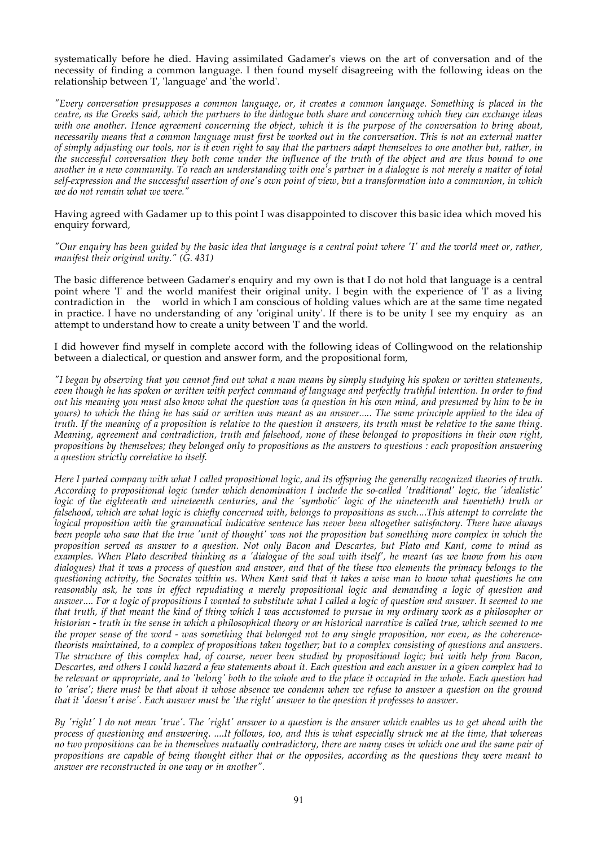systematically before he died. Having assimilated Gadamer's views on the art of conversation and of the necessity of finding a common language. I then found myself disagreeing with the following ideas on the relationship between 'I', 'language' and 'the world'.

"Every conversation presupposes a common language, or, it creates a common language. Something is placed in the centre, as the Greeks said, which the partners to the dialogue both share and concerning which they can exchange ideas with one another. Hence agreement concerning the object, which it is the purpose of the conversation to bring about, necessarily means that a common language must first be worked out in the conversation. This is not an external matter of simply adjusting our tools, nor is it even right to say that the partners adapt themselves to one another but, rather, in the successful conversation they both come under the influence of the truth of the object and are thus bound to one another in a new community. To reach an understanding with one's partner in a dialogue is not merely a matter of total self-expression and the successful assertion of one's own point of view, but a transformation into a communion, in which *we do not remain what we were."*

Having agreed with Gadamer up to this point I was disappointed to discover this basic idea which moved his enquiry forward,

"Our enquiry has been guided by the basic idea that language is a central point where 'I' and the world meet or, rather, *manifest their original unity." (G. 431)*

The basic difference between Gadamer's enquiry and my own is that I do not hold that language is a central point where 'I' and the world manifest their original unity. I begin with the experience of 'I' as a living contradiction in the world in which I am conscious of holding values which are at the same time negated in practice. I have no understanding of any 'original unity'. If there is to be unity I see my enquiry as an attempt to understand how to create a unity between 'I' and the world.

I did however find myself in complete accord with the following ideas of Collingwood on the relationship between a dialectical, or question and answer form, and the propositional form,

"I began by observing that you cannot find out what a man means by simply studying his spoken or written statements, even though he has spoken or written with perfect command of language and perfectly truthful intention. In order to find out his meaning you must also know what the question was (a question in his own mind, and presumed by him to be in yours) to which the thing he has said or written was meant as an answer..... The same principle applied to the idea of truth. If the meaning of a proposition is relative to the question it answers, its truth must be relative to the same thing. Meaning, agreement and contradiction, truth and falsehood, none of these belonged to propositions in their own right, propositions by themselves; they belonged only to propositions as the answers to questions : each proposition answering *a question strictly correlative to itself.*

Here I parted company with what I called propositional logic, and its offspring the generally recognized theories of truth. According to propositional logic (under which denomination I include the so-called 'traditional' logic, the 'idealistic' logic of the eighteenth and nineteenth centuries, and the 'symbolic' logic of the nineteenth and twentieth) truth or falsehood, which are what logic is chiefly concerned with, belongs to propositions as such....This attempt to correlate the *logical proposition with the grammatical indicative sentence has never been altogether satisfactory. There have always* been people who saw that the true 'unit of thought' was not the proposition but something more complex in which the proposition served as answer to a question. Not only Bacon and Descartes, but Plato and Kant, come to mind as examples. When Plato described thinking as a 'dialogue of the soul with itself', he meant (as we know from his own dialogues) that it was a process of question and answer, and that of the these two elements the primacy belongs to the questioning activity, the Socrates within us. When Kant said that it takes a wise man to know what questions he can reasonably ask, he was in effect repudiating a merely propositional logic and demanding a logic of question and answer.... For a logic of propositions I wanted to substitute what I called a logic of question and answer. It seemed to me that truth, if that meant the kind of thing which I was accustomed to pursue in my ordinary work as a philosopher or historian - truth in the sense in which a philosophical theory or an historical narrative is called true, which seemed to me the proper sense of the word - was something that belonged not to any single proposition, nor even, as the coherencetheorists maintained, to a complex of propositions taken together; but to a complex consisting of questions and answers. The structure of this complex had, of course, never been studied by propositional logic; but with help from Bacon, Descartes, and others I could hazard a few statements about it. Each question and each answer in a given complex had to be relevant or appropriate, and to 'belong' both to the whole and to the place it occupied in the whole. Each question had to 'arise'; there must be that about it whose absence we condemn when we refuse to answer a question on the ground that it 'doesn't arise'. Each answer must be 'the right' answer to the question it professes to answer.

By 'right' I do not mean 'true'. The 'right' answer to a question is the answer which enables us to get ahead with the process of questioning and answering. ....It follows, too, and this is what especially struck me at the time, that whereas no two propositions can be in themselves mutually contradictory, there are many cases in which one and the same pair of propositions are capable of being thought either that or the opposites, according as the questions they were meant to *answer are reconstructed in one way or in another".*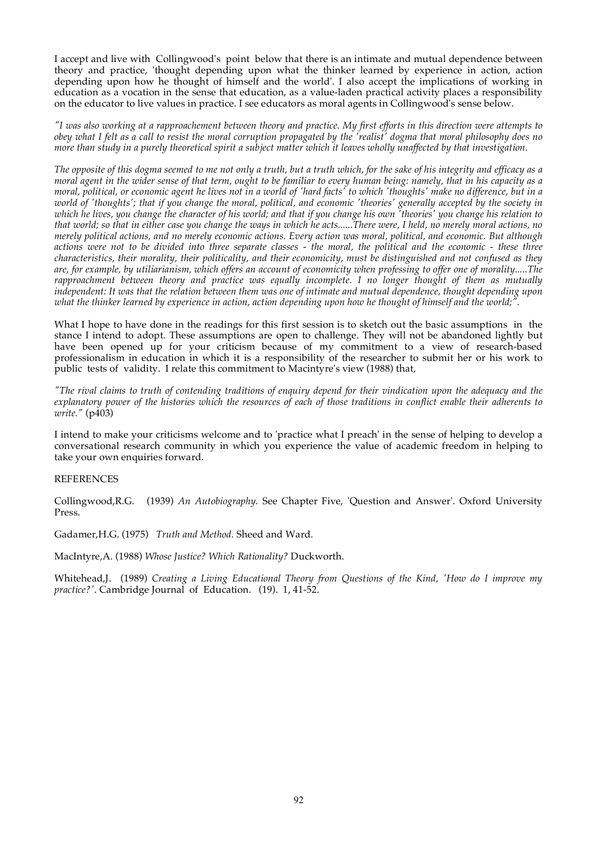I accept and live with Collingwood's point below that there is an intimate and mutual dependence between theory and practice, 'thought depending upon what the thinker learned by experience in action, action depending upon how he thought of himself and the world'. I also accept the implications of working in education as a vocation in the sense that education, as a value-laden practical activity places a responsibility on the educator to live values in practice. I see educators as moral agents in Collingwood's sense below.

"I was also working at a rapproachement between theory and practice. My first efforts in this direction were attempts to obey what I felt as a call to resist the moral corruption propagated by the 'realist' dogma that moral philosophy does no more than study in a purely theoretical spirit a subject matter which it leaves wholly unaffected by that investigation.

The opposite of this dogma seemed to me not only a truth, but a truth which, for the sake of his integrity and efficacy as a moral agent in the wider sense of that term, ought to be familiar to every human being: namely, that in his capacity as a moral, political, or economic agent he lives not in a world of 'hard facts' to which 'thoughts' make no difference, but in a world of 'thoughts'; that if you change the moral, political, and economic 'theories' generally accepted by the society in which he lives, you change the character of his world; and that if you change his own 'theories' you change his relation to that world; so that in either case you change the ways in which he acts.....There were, I held, no merely moral actions, no merely political actions, and no merely economic actions. Every action was moral, political, and economic. But although actions were not to be divided into three separate classes - the moral, the political and the economic - these three characteristics, their morality, their politicality, and their economicity, must be distinguished and not confused as they are, for example, by utiliarianism, which offers an account of economicity when professing to offer one of morality.....The *rapproachment between theory and practice was equally incomplete. I no longer thought of them as mutually* independent: It was that the relation between them was one of intimate and mutual dependence, thought depending upon what the thinker learned by experience in action, action depending upon how he thought of himself and the world;".

What I hope to have done in the readings for this first session is to sketch out the basic assumptions in the stance I intend to adopt. These assumptions are open to challenge. They will not be abandoned lightly but have been opened up for your criticism because of my commitment to a view of research-based professionalism in education in which it is a responsibility of the researcher to submit her or his work to public tests of validity. I relate this commitment to Macintyre's view (1988) that,

"The rival claims to truth of contending traditions of enquiry depend for their vindication upon the adequacy and the explanatory power of the histories which the resources of each of those traditions in conflict enable their adherents to *write."* ( $p\tilde{4}03$ )

I intend to make your criticisms welcome and to 'practice what I preach' in the sense of helping to develop a conversational research community in which you experience the value of academic freedom in helping to take your own enquiries forward.

## REFERENCES

Collingwood,R.G. (1939) *An Autobiography.* See Chapter Five, 'Question and Answer'. Oxford University Press.

Gadamer,H.G. (1975) *Truth and Method.* Sheed and Ward.

MacIntyre,A. (1988) *Whose Justice? Which Rationality?* Duckworth.

Whitehead,J. (1989) *Creating a Living Educational Theory from Questions of the Kind, 'How do I improve my practice?'*. Cambridge Journal of Education. (19). 1, 41-52.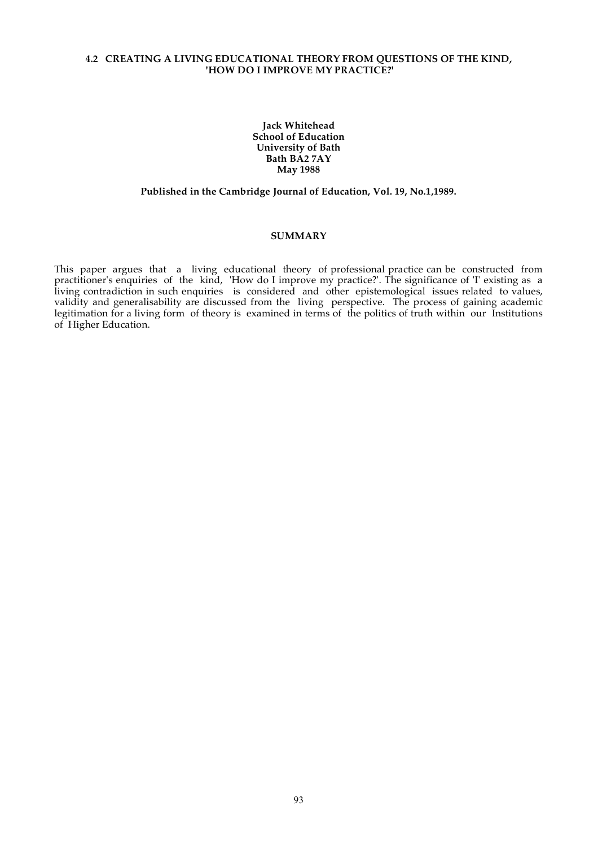#### **4.2 CREATING A LIVING EDUCATIONAL THEORY FROM QUESTIONS OF THE KIND, 'HOW DO I IMPROVE MY PRACTICE?'**

**Jack Whitehead School of Education University of Bath Bath BA2 7AY May 1988**

#### **Published in the Cambridge Journal of Education, Vol. 19, No.1,1989.**

## **SUMMARY**

This paper argues that a living educational theory of professional practice can be constructed from practitioner's enquiries of the kind, 'How do I improve my practice?'. The significance of 'I' existing as a living contradiction in such enquiries is considered and other epistemological issues related to values, validity and generalisability are discussed from the living perspective. The process of gaining academic legitimation for a living form of theory is examined in terms of the politics of truth within our Institutions of Higher Education.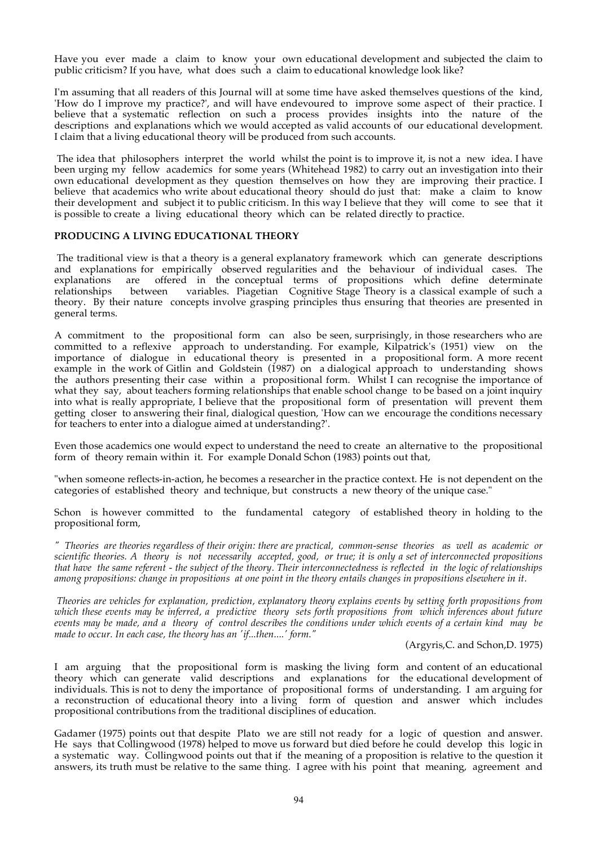Have you ever made a claim to know your own educational development and subjected the claim to public criticism? If you have, what does such a claim to educational knowledge look like?

I'm assuming that all readers of this Journal will at some time have asked themselves questions of the kind, 'How do I improve my practice?', and will have endevoured to improve some aspect of their practice. I believe that a systematic reflection on such a process provides insights into the nature of the descriptions and explanations which we would accepted as valid accounts of our educational development. I claim that a living educational theory will be produced from such accounts.

The idea that philosophers interpret the world whilst the point is to improve it, is not a new idea. I have been urging my fellow academics for some years (Whitehead 1982) to carry out an investigation into their own educational development as they question themselves on how they are improving their practice. I believe that academics who write about educational theory should do just that: make a claim to know their development and subject it to public criticism. In this way I believe that they will come to see that it is possible to create a living educational theory which can be related directly to practice.

## **PRODUCING A LIVING EDUCATIONAL THEORY**

The traditional view is that a theory is a general explanatory framework which can generate descriptions and explanations for empirically observed regularities and the behaviour of individual cases. The explanations are offered in the conceptual terms of propositions which define determinate relationships between variables. Piagetian Cognitive Stage Theory is a classical example of such a theory. By their nature concepts involve grasping principles thus ensuring that theories are presented in general terms.

A commitment to the propositional form can also be seen, surprisingly, in those researchers who are committed to a reflexive approach to understanding. For example, Kilpatrick's (1951) view on the importance of dialogue in educational theory is presented in a propositional form. A more recent example in the work of Gitlin and Goldstein (1987) on a dialogical approach to understanding shows the authors presenting their case within a propositional form. Whilst I can recognise the importance of what they say, about teachers forming relationships that enable school change to be based on a joint inquiry into what is really appropriate, I believe that the propositional form of presentation will prevent them getting closer to answering their final, dialogical question, 'How can we encourage the conditions necessary for teachers to enter into a dialogue aimed at understanding?'.

Even those academics one would expect to understand the need to create an alternative to the propositional form of theory remain within it. For example Donald Schon (1983) points out that,

"when someone reflects-in-action, he becomes a researcher in the practice context. He is not dependent on the categories of established theory and technique, but constructs a new theory of the unique case."

Schon is however committed to the fundamental category of established theory in holding to the propositional form,

" Theories are theories regardless of their origin: there are practical, common-sense theories as well as academic or scientific theories. A theory is not necessarily accepted, good, or true; it is only a set of interconnected propositions that have the same referent - the subject of the theory. Their interconnectedness is reflected in the logic of relationships among propositions; change in propositions at one point in the theory entails changes in propositions elsewhere in it.

Theories are vehicles for explanation, prediction, explanatory theory explains events by setting forth propositions from which these events may be inferred, a predictive theory sets forth propositions from which inferences about future events may be made, and a theory of control describes the conditions under which events of a certain kind may be *made to occur. In each case, the theory has an 'if...then....' form."*

(Argyris,C. and Schon,D. 1975)

I am arguing that the propositional form is masking the living form and content of an educational theory which can generate valid descriptions and explanations for the educational development of individuals. This is not to deny the importance of propositional forms of understanding. I am arguing for a reconstruction of educational theory into a living form of question and answer which includes propositional contributions from the traditional disciplines of education.

Gadamer (1975) points out that despite Plato we are still not ready for a logic of question and answer. He says that Collingwood (1978) helped to move us forward but died before he could develop this logic in a systematic way. Collingwood points out that if the meaning of a proposition is relative to the question it answers, its truth must be relative to the same thing. I agree with his point that meaning, agreement and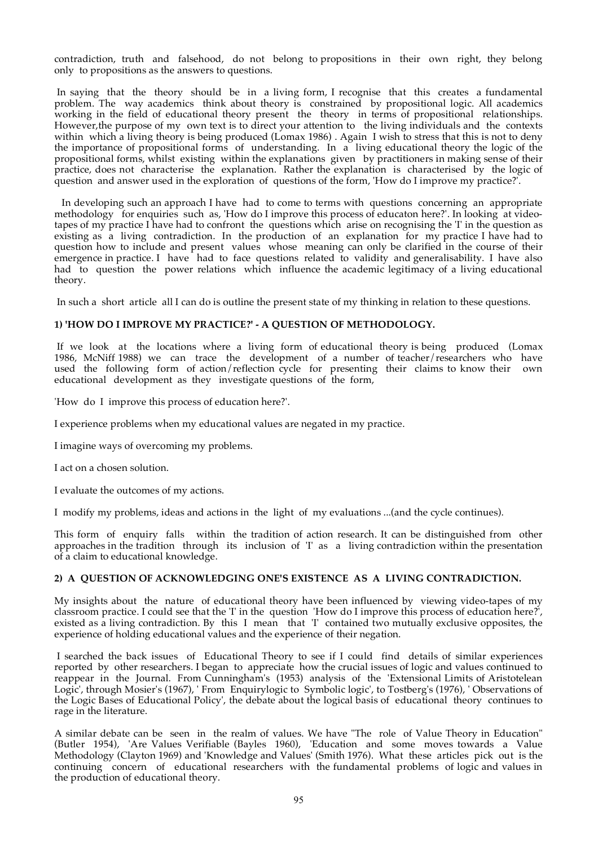contradiction, truth and falsehood, do not belong to propositions in their own right, they belong only to propositions as the answers to questions.

In saying that the theory should be in a living form, I recognise that this creates a fundamental problem. The way academics think about theory is constrained by propositional logic. All academics working in the field of educational theory present the theory in terms of propositional relationships. However,the purpose of my own text is to direct your attention to the living individuals and the contexts within which a living theory is being produced (Lomax 1986) . Again I wish to stress that this is not to deny the importance of propositional forms of understanding. In a living educational theory the logic of the propositional forms, whilst existing within the explanations given by practitioners in making sense of their practice, does not characterise the explanation. Rather the explanation is characterised by the logic of question and answer used in the exploration of questions of the form, 'How do I improve my practice?'.

In developing such an approach I have had to come to terms with questions concerning an appropriate methodology for enquiries such as, 'How do I improve this process of educaton here?'. In looking at videotapes of my practice I have had to confront the questions which arise on recognising the 'I' in the question as existing as a living contradiction. In the production of an explanation for my practice I have had to question how to include and present values whose meaning can only be clarified in the course of their emergence in practice. I have had to face questions related to validity and generalisability. I have also had to question the power relations which influence the academic legitimacy of a living educational theory.

In such a short article all I can do is outline the present state of my thinking in relation to these questions.

## **1) 'HOW DO I IMPROVE MY PRACTICE?' - A QUESTION OF METHODOLOGY.**

If we look at the locations where a living form of educational theory is being produced (Lomax 1986, McNiff 1988) we can trace the development of a number of teacher/researchers who have used the following form of action/reflection cycle for presenting their claims to know their own educational development as they investigate questions of the form,

'How do I improve this process of education here?'.

I experience problems when my educational values are negated in my practice.

I imagine ways of overcoming my problems.

I act on a chosen solution.

I evaluate the outcomes of my actions.

I modify my problems, ideas and actions in the light of my evaluations ...(and the cycle continues).

This form of enquiry falls within the tradition of action research. It can be distinguished from other approaches in the tradition through its inclusion of 'I' as a living contradiction within the presentation of a claim to educational knowledge.

## **2) A QUESTION OF ACKNOWLEDGING ONE'S EXISTENCE AS A LIVING CONTRADICTION.**

My insights about the nature of educational theory have been influenced by viewing video-tapes of my classroom practice. I could see that the 'I' in the question 'How do I improve this process of education here?', existed as a living contradiction. By this I mean that 'I' contained two mutually exclusive opposites, the experience of holding educational values and the experience of their negation.

I searched the back issues of Educational Theory to see if I could find details of similar experiences reported by other researchers. I began to appreciate how the crucial issues of logic and values continued to reappear in the Journal. From Cunningham's (1953) analysis of the 'Extensional Limits of Aristotelean Logic', through Mosier's (1967), ' From Enquirylogic to Symbolic logic', to Tostberg's (1976), ' Observations of the Logic Bases of Educational Policy', the debate about the logical basis of educational theory continues to rage in the literature.

A similar debate can be seen in the realm of values. We have "The role of Value Theory in Education" (Butler 1954), 'Are Values Verifiable (Bayles 1960), 'Education and some moves towards a Value Methodology (Clayton 1969) and 'Knowledge and Values' (Smith 1976). What these articles pick out is the continuing concern of educational researchers with the fundamental problems of logic and values in the production of educational theory.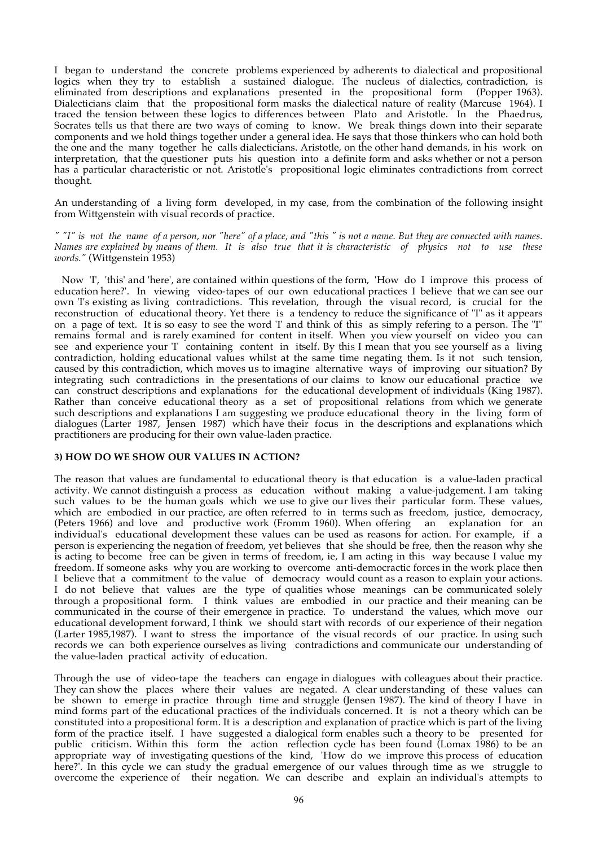I began to understand the concrete problems experienced by adherents to dialectical and propositional logics when they try to establish a sustained dialogue. The nucleus of dialectics, contradiction, is eliminated from descriptions and explanations presented in the propositional form (Popper 1963). Dialecticians claim that the propositional form masks the dialectical nature of reality (Marcuse 1964). I traced the tension between these logics to differences between Plato and Aristotle. In the Phaedrus, Socrates tells us that there are two ways of coming to know. We break things down into their separate components and we hold things together under a general idea. He says that those thinkers who can hold both the one and the many together he calls dialecticians. Aristotle, on the other hand demands, in his work on interpretation, that the questioner puts his question into a definite form and asks whether or not a person has a particular characteristic or not. Aristotle's propositional logic eliminates contradictions from correct thought.

An understanding of a living form developed, in my case, from the combination of the following insight from Wittgenstein with visual records of practice.

" "I" is not the name of a person, nor "here" of a place, and "this" is not a name. But they are connected with names. Names are explained by means of them. It is also true that it is characteristic of physics not to use these *words."* (Wittgenstein 1953)

Now 'I', 'this' and 'here', are contained within questions of the form, 'How do I improve this process of education here?'. In viewing video-tapes of our own educational practices I believe that we can see our own 'I's existing as living contradictions. This revelation, through the visual record, is crucial for the reconstruction of educational theory. Yet there is a tendency to reduce the significance of "I" as it appears on a page of text. It is so easy to see the word 'I' and think of this as simply refering to a person. The "I" remains formal and is rarely examined for content in itself. When you view yourself on video you can see and experience your 'I' containing content in itself. By this I mean that you see yourself as a living contradiction, holding educational values whilst at the same time negating them. Is it not such tension, caused by this contradiction, which moves us to imagine alternative ways of improving our situation? By integrating such contradictions in the presentations of our claims to know our educational practice we can construct descriptions and explanations for the educational development of individuals (King 1987). Rather than conceive educational theory as a set of propositional relations from which we generate such descriptions and explanations I am suggesting we produce educational theory in the living form of dialogues (Larter 1987, Jensen 1987) which have their focus in the descriptions and explanations which practitioners are producing for their own value-laden practice.

## **3) HOW DO WE SHOW OUR VALUES IN ACTION?**

The reason that values are fundamental to educational theory is that education is a value-laden practical activity. We cannot distinguish a process as education without making a value-judgement. I am taking such values to be the human goals which we use to give our lives their particular form. These values, which are embodied in our practice, are often referred to in terms such as freedom, justice, democracy, (Peters 1966) and love and productive work (Fromm 1960). When offering an explanation for an individual's educational development these values can be used as reasons for action. For example, if a person is experiencing the negation of freedom, yet believes that she should be free, then the reason why she is acting to become free can be given in terms of freedom, ie, I am acting in this way because I value my freedom. If someone asks why you are working to overcome anti-democractic forces in the work place then I believe that a commitment to the value of democracy would count as a reason to explain your actions. I do not believe that values are the type of qualities whose meanings can be communicated solely through a propositional form. I think values are embodied in our practice and their meaning can be communicated in the course of their emergence in practice. To understand the values, which move our educational development forward, I think we should start with records of our experience of their negation (Larter 1985,1987). I want to stress the importance of the visual records of our practice. In using such records we can both experience ourselves as living contradictions and communicate our understanding of the value-laden practical activity of education.

Through the use of video-tape the teachers can engage in dialogues with colleagues about their practice. They can show the places where their values are negated. A clear understanding of these values can be shown to emerge in practice through time and struggle (Jensen 1987). The kind of theory I have in mind forms part of the educational practices of the individuals concerned. It is not a theory which can be constituted into a propositional form. It is a description and explanation of practice which is part of the living form of the practice itself. I have suggested a dialogical form enables such a theory to be presented for public criticism. Within this form the action reflection cycle has been found (Lomax 1986) to be an appropriate way of investigating questions of the kind, 'How do we improve this process of education here?'. In this cycle we can study the gradual emergence of our values through time as we struggle to overcome the experience of their negation. We can describe and explain an individual's attempts to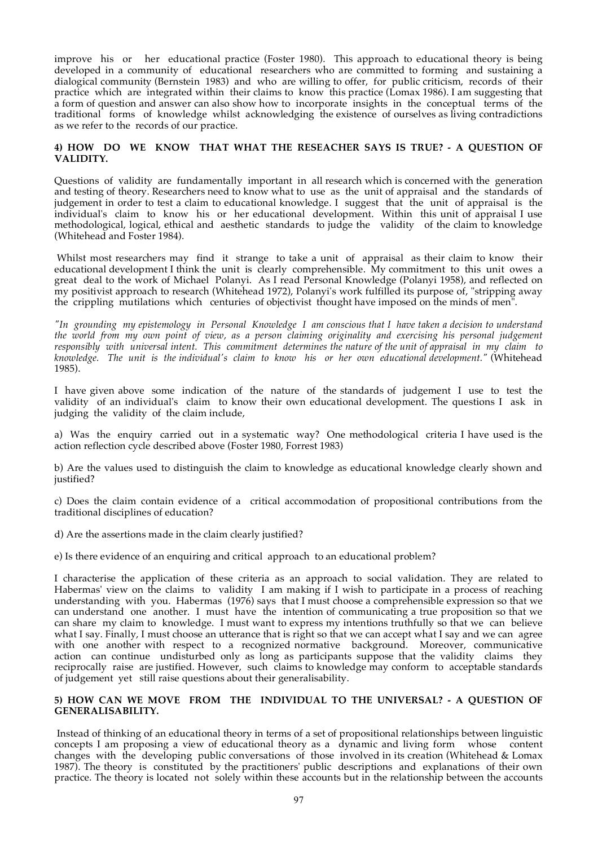improve his or her educational practice (Foster 1980). This approach to educational theory is being developed in a community of educational researchers who are committed to forming and sustaining a dialogical community (Bernstein 1983) and who are willing to offer, for public criticism, records of their practice which are integrated within their claims to know this practice (Lomax 1986). I am suggesting that a form of question and answer can also show how to incorporate insights in the conceptual terms of the traditional forms of knowledge whilst acknowledging the existence of ourselves as living contradictions as we refer to the records of our practice.

## **4) HOW DO WE KNOW THAT WHAT THE RESEACHER SAYS IS TRUE? - A QUESTION OF VALIDITY.**

Questions of validity are fundamentally important in all research which is concerned with the generation and testing of theory. Researchers need to know what to use as the unit of appraisal and the standards of judgement in order to test a claim to educational knowledge. I suggest that the unit of appraisal is the individual's claim to know his or her educational development. Within this unit of appraisal I use methodological, logical, ethical and aesthetic standards to judge the validity of the claim to knowledge (Whitehead and Foster 1984).

Whilst most researchers may find it strange to take a unit of appraisal as their claim to know their educational development I think the unit is clearly comprehensible. My commitment to this unit owes a great deal to the work of Michael Polanyi. As I read Personal Knowledge (Polanyi 1958), and reflected on my positivist approach to research (Whitehead 1972), Polanyi's work fulfilled its purpose of, "stripping away the crippling mutilations which centuries of objectivist thought have imposed on the minds of men".

"In grounding my epistemology in Personal Knowledge I am conscious that I have taken a decision to understand the world from my own point of view, as a person claiming originality and exercising his personal judgement responsibly with universal intent. This commitment determines the nature of the unit of appraisal in my claim to *knowledge. The unit is the individual's claim to know his or her own educational development."* (Whitehead 1985).

I have given above some indication of the nature of the standards of judgement I use to test the validity of an individual's claim to know their own educational development. The questions I ask in judging the validity of the claim include,

a) Was the enquiry carried out in a systematic way? One methodological criteria I have used is the action reflection cycle described above (Foster 1980, Forrest 1983)

b) Are the values used to distinguish the claim to knowledge as educational knowledge clearly shown and justified?

c) Does the claim contain evidence of a critical accommodation of propositional contributions from the traditional disciplines of education?

d) Are the assertions made in the claim clearly justified?

e) Is there evidence of an enquiring and critical approach to an educational problem?

I characterise the application of these criteria as an approach to social validation. They are related to Habermas' view on the claims to validity I am making if I wish to participate in a process of reaching understanding with you. Habermas (1976) says that I must choose a comprehensible expression so that we can understand one another. I must have the intention of communicating a true proposition so that we can share my claim to knowledge. I must want to express my intentions truthfully so that we can believe what I say. Finally, I must choose an utterance that is right so that we can accept what I say and we can agree with one another with respect to a recognized normative background. Moreover, communicative action can continue undisturbed only as long as participants suppose that the validity claims they reciprocally raise are justified. However, such claims to knowledge may conform to acceptable standards of judgement yet still raise questions about their generalisability.

#### **5) HOW CAN WE MOVE FROM THE INDIVIDUAL TO THE UNIVERSAL? - A QUESTION OF GENERALISABILITY.**

Instead of thinking of an educational theory in terms of a set of propositional relationships between linguistic concepts I am proposing a view of educational theory as a dynamic and living form whose content changes with the developing public conversations of those involved in its creation (Whitehead & Lomax 1987). The theory is constituted by the practitioners' public descriptions and explanations of their own practice. The theory is located not solely within these accounts but in the relationship between the accounts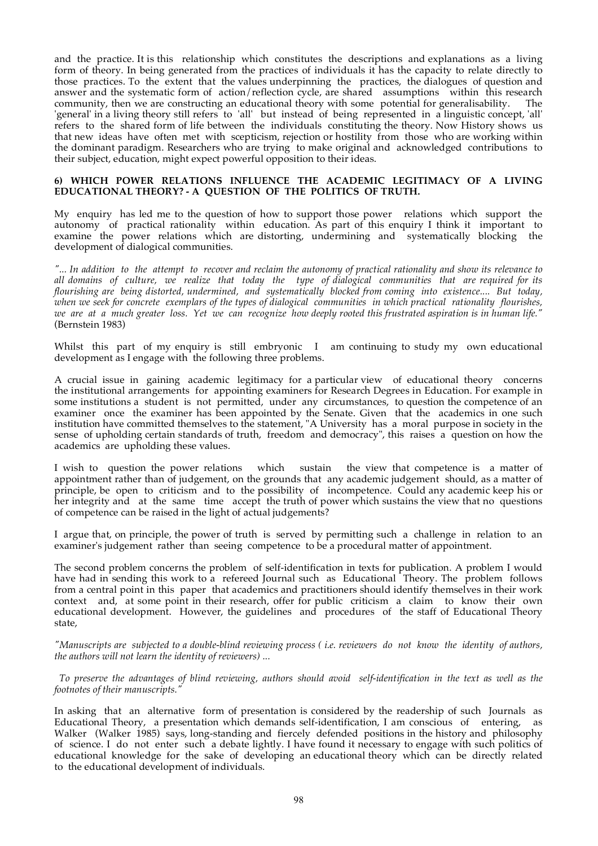and the practice. It is this relationship which constitutes the descriptions and explanations as a living form of theory. In being generated from the practices of individuals it has the capacity to relate directly to those practices. To the extent that the values underpinning the practices, the dialogues of question and answer and the systematic form of action/reflection cycle, are shared assumptions within this research community, then we are constructing an educational theory with some potential for generalisability. The 'general' in a living theory still refers to 'all' but instead of being represented in a linguistic concept, 'all' refers to the shared form of life between the individuals constituting the theory. Now History shows us that new ideas have often met with scepticism, rejection or hostility from those who are working within the dominant paradigm. Researchers who are trying to make original and acknowledged contributions to their subject, education, might expect powerful opposition to their ideas.

#### **6) WHICH POWER RELATIONS INFLUENCE THE ACADEMIC LEGITIMACY OF A LIVING EDUCATIONAL THEORY? - A QUESTION OF THE POLITICS OF TRUTH.**

My enquiry has led me to the question of how to support those power relations which support the autonomy of practical rationality within education. As part of this enquiry I think it important to examine the power relations which are distorting, undermining and systematically blocking the development of dialogical communities.

"... In addition to the attempt to recover and reclaim the autonomy of practical rationality and show its relevance to all domains of culture, we realize that today the type of dialogical communities that are required for its *flourishing are being distorted, undermined, and systematically blocked from coming into existence.... But today,* when we seek for concrete exemplars of the types of dialogical communities in which practical rationality flourishes, we are at a much greater loss. Yet we can recognize how deeply rooted this frustrated aspiration is in human life. (Bernstein 1983)

Whilst this part of my enquiry is still embryonic I am continuing to study my own educational development as I engage with the following three problems.

A crucial issue in gaining academic legitimacy for a particular view of educational theory concerns the institutional arrangements for appointing examiners for Research Degrees in Education. For example in some institutions a student is not permitted, under any circumstances, to question the competence of an examiner once the examiner has been appointed by the Senate. Given that the academics in one such institution have committed themselves to the statement, "A University has a moral purpose in society in the sense of upholding certain standards of truth, freedom and democracy", this raises a question on how the academics are upholding these values.

I wish to question the power relations which sustain the view that competence is a matter of appointment rather than of judgement, on the grounds that any academic judgement should, as a matter of principle, be open to criticism and to the possibility of incompetence. Could any academic keep his or her integrity and at the same time accept the truth of power which sustains the view that no questions of competence can be raised in the light of actual judgements?

I argue that, on principle, the power of truth is served by permitting such a challenge in relation to an examiner's judgement rather than seeing competence to be a procedural matter of appointment.

The second problem concerns the problem of self-identification in texts for publication. A problem I would have had in sending this work to a refereed Journal such as Educational Theory. The problem follows from a central point in this paper that academics and practitioners should identify themselves in their work context and, at some point in their research, offer for public criticism a claim to know their own educational development. However, the guidelines and procedures of the staff of Educational Theory state,

"Manuscripts are subjected to a double-blind reviewing process (i.e. reviewers do not know the identity of authors, *the authors will not learn the identity of reviewers) ...*

To preserve the advantages of blind reviewing, authors should avoid self-identification in the text as well as the *footnotes of their manuscripts."*

In asking that an alternative form of presentation is considered by the readership of such Journals as Educational Theory, a presentation which demands self-identification, I am conscious of entering, as Walker (Walker 1985) says, long-standing and fiercely defended positions in the history and philosophy of science. I do not enter such a debate lightly. I have found it necessary to engage with such politics of educational knowledge for the sake of developing an educational theory which can be directly related to the educational development of individuals.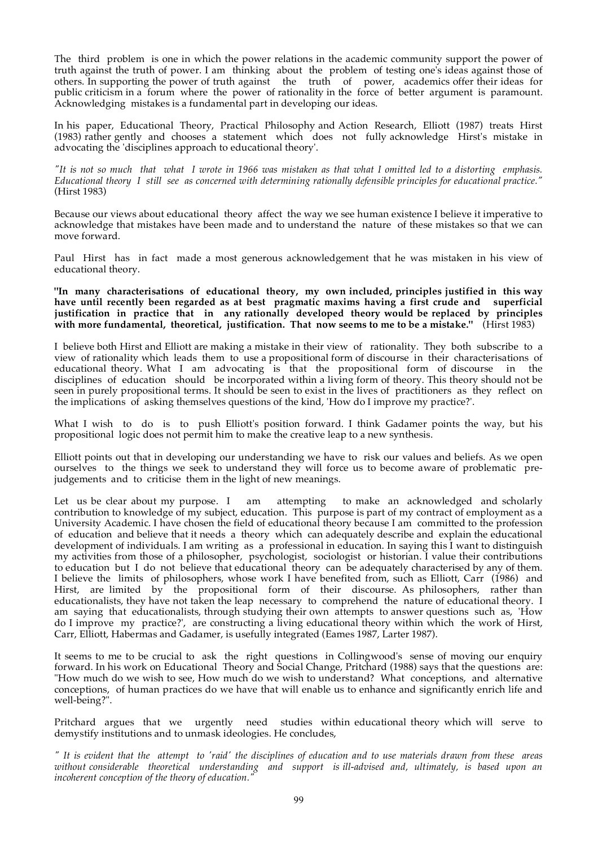The third problem is one in which the power relations in the academic community support the power of truth against the truth of power. I am thinking about the problem of testing one's ideas against those of others. In supporting the power of truth against the truth of power, academics offer their ideas for public criticism in a forum where the power of rationality in the force of better argument is paramount. Acknowledging mistakes is a fundamental part in developing our ideas.

In his paper, Educational Theory, Practical Philosophy and Action Research, Elliott (1987) treats Hirst (1983) rather gently and chooses a statement which does not fully acknowledge Hirst's mistake in advocating the 'disciplines approach to educational theory'.

"It is not so much that what I wrote in 1966 was mistaken as that what I omitted led to a distorting emphasis. Educational theory I still see as concerned with determining rationally defensible principles for educational practice.' (Hirst 1983)

Because our views about educational theory affect the way we see human existence I believe it imperative to acknowledge that mistakes have been made and to understand the nature of these mistakes so that we can move forward.

Paul Hirst has in fact made a most generous acknowledgement that he was mistaken in his view of educational theory.

**"In many characterisations of educational theory, my own included, principles justified in this way have until recently been regarded as at best pragmatic maxims having a first crude and superficial justification in practice that in any rationally developed theory would be replaced by principles with more fundamental, theoretical, justification. That now seems to me to be a mistake."** (Hirst 1983)

I believe both Hirst and Elliott are making a mistake in their view of rationality. They both subscribe to a view of rationality which leads them to use a propositional form of discourse in their characterisations of educational theory. What I am advocating is that the propositional form of discourse in the disciplines of education should be incorporated within a living form of theory. This theory should not be seen in purely propositional terms. It should be seen to exist in the lives of practitioners as they reflect on the implications of asking themselves questions of the kind, 'How do I improve my practice?'.

What I wish to do is to push Elliott's position forward. I think Gadamer points the way, but his propositional logic does not permit him to make the creative leap to a new synthesis.

Elliott points out that in developing our understanding we have to risk our values and beliefs. As we open ourselves to the things we seek to understand they will force us to become aware of problematic prejudgements and to criticise them in the light of new meanings.

Let us be clear about my purpose. I am attempting to make an acknowledged and scholarly contribution to knowledge of my subject, education. This purpose is part of my contract of employment as a University Academic. I have chosen the field of educational theory because I am committed to the profession of education and believe that it needs a theory which can adequately describe and explain the educational development of individuals. I am writing as a professional in education. In saying this I want to distinguish my activities from those of a philosopher, psychologist, sociologist or historian. I value their contributions to education but I do not believe that educational theory can be adequately characterised by any of them. I believe the limits of philosophers, whose work I have benefited from, such as Elliott, Carr (1986) and Hirst, are limited by the propositional form of their discourse. As philosophers, rather than educationalists, they have not taken the leap necessary to comprehend the nature of educational theory. I am saying that educationalists, through studying their own attempts to answer questions such as, 'How do I improve my practice?', are constructing a living educational theory within which the work of Hirst, Carr, Elliott, Habermas and Gadamer, is usefully integrated (Eames 1987, Larter 1987).

It seems to me to be crucial to ask the right questions in Collingwood's sense of moving our enquiry forward. In his work on Educational Theory and Social Change, Pritchard (1988) says that the questions are: "How much do we wish to see, How much do we wish to understand? What conceptions, and alternative conceptions, of human practices do we have that will enable us to enhance and significantly enrich life and well-being?".

Pritchard argues that we urgently need studies within educational theory which will serve to demystify institutions and to unmask ideologies. He concludes,

" It is evident that the attempt to 'raid' the disciplines of education and to use materials drawn from these areas *without considerable theoretical understanding and support is ill-advised and, ultimately, is based upon an incoherent conception of the theory of education."*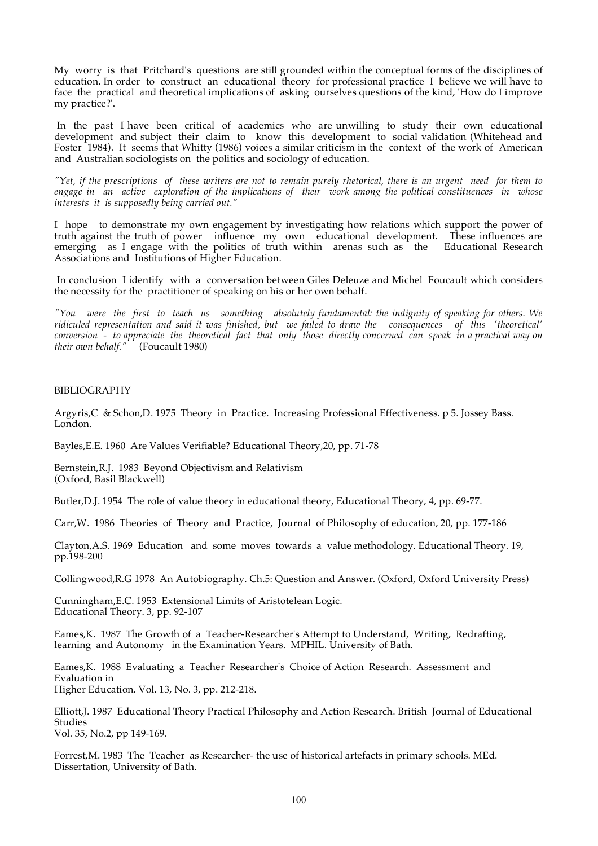My worry is that Pritchard's questions are still grounded within the conceptual forms of the disciplines of education. In order to construct an educational theory for professional practice I believe we will have to face the practical and theoretical implications of asking ourselves questions of the kind, 'How do I improve my practice?'.

In the past I have been critical of academics who are unwilling to study their own educational development and subject their claim to know this development to social validation (Whitehead and Foster 1984). It seems that Whitty (1986) voices a similar criticism in the context of the work of American and Australian sociologists on the politics and sociology of education.

"Yet, if the prescriptions of these writers are not to remain purely rhetorical, there is an urgent need for them to engage in an active exploration of the implications of their work among the political constituences in whose *interests it is supposedly being carried out."*

I hope to demonstrate my own engagement by investigating how relations which support the power of truth against the truth of power influence my own educational development. These influences are emerging as I engage with the politics of truth within arenas such as the Educational Research Associations and Institutions of Higher Education.

In conclusion I identify with a conversation between Giles Deleuze and Michel Foucault which considers the necessity for the practitioner of speaking on his or her own behalf.

"You were the first to teach us something absolutely fundamental: the indignity of speaking for others. We ridiculed representation and said it was finished, but we failed to draw the consequences of this 'theoretical' conversion - to appreciate the theoretical fact that only those directly concerned can speak in a practical way on *their own behalf."* (Foucault 1980)

# BIBLIOGRAPHY

Argyris,C & Schon,D. 1975 Theory in Practice. Increasing Professional Effectiveness. p 5. Jossey Bass. London.

Bayles,E.E. 1960 Are Values Verifiable? Educational Theory,20, pp. 71-78

Bernstein,R.J. 1983 Beyond Objectivism and Relativism (Oxford, Basil Blackwell)

Butler,D.J. 1954 The role of value theory in educational theory, Educational Theory, 4, pp. 69-77.

Carr,W. 1986 Theories of Theory and Practice, Journal of Philosophy of education, 20, pp. 177-186

Clayton,A.S. 1969 Education and some moves towards a value methodology. Educational Theory. 19, pp.198-200

Collingwood,R.G 1978 An Autobiography. Ch.5: Question and Answer. (Oxford, Oxford University Press)

Cunningham,E.C. 1953 Extensional Limits of Aristotelean Logic. Educational Theory. 3, pp. 92-107

Eames,K. 1987 The Growth of a Teacher-Researcher's Attempt to Understand, Writing, Redrafting, learning and Autonomy in the Examination Years. MPHIL. University of Bath.

Eames,K. 1988 Evaluating a Teacher Researcher's Choice of Action Research. Assessment and Evaluation in Higher Education. Vol. 13, No. 3, pp. 212-218.

Elliott,J. 1987 Educational Theory Practical Philosophy and Action Research. British Journal of Educational **Studies** Vol. 35, No.2, pp 149-169.

Forrest,M. 1983 The Teacher as Researcher- the use of historical artefacts in primary schools. MEd. Dissertation, University of Bath.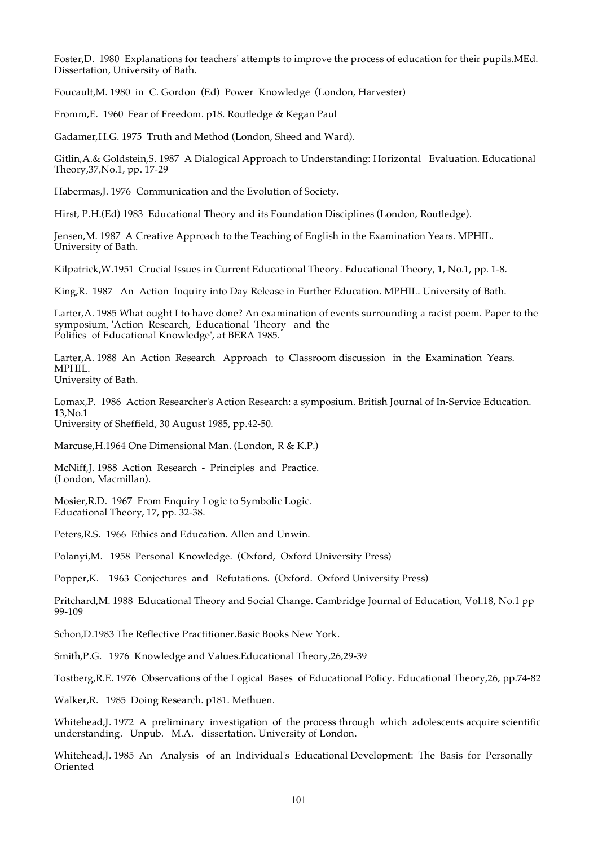Foster,D. 1980 Explanations for teachers' attempts to improve the process of education for their pupils.MEd. Dissertation, University of Bath.

Foucault,M. 1980 in C. Gordon (Ed) Power Knowledge (London, Harvester)

Fromm,E. 1960 Fear of Freedom. p18. Routledge & Kegan Paul

Gadamer,H.G. 1975 Truth and Method (London, Sheed and Ward).

Gitlin,A.& Goldstein,S. 1987 A Dialogical Approach to Understanding: Horizontal Evaluation. Educational Theory,37,No.1, pp. 17-29

Habermas,J. 1976 Communication and the Evolution of Society.

Hirst, P.H.(Ed) 1983 Educational Theory and its Foundation Disciplines (London, Routledge).

Jensen,M. 1987 A Creative Approach to the Teaching of English in the Examination Years. MPHIL. University of Bath.

Kilpatrick,W.1951 Crucial Issues in Current Educational Theory. Educational Theory, 1, No.1, pp. 1-8.

King,R. 1987 An Action Inquiry into Day Release in Further Education. MPHIL. University of Bath.

Larter,A. 1985 What ought I to have done? An examination of events surrounding a racist poem. Paper to the symposium, 'Action Research, Educational Theory and the Politics of Educational Knowledge', at BERA 1985.

Larter,A. 1988 An Action Research Approach to Classroom discussion in the Examination Years. MPHIL. University of Bath.

Lomax,P. 1986 Action Researcher's Action Research: a symposium. British Journal of In-Service Education. 13,No.1 University of Sheffield, 30 August 1985, pp.42-50.

Marcuse,H.1964 One Dimensional Man. (London, R & K.P.)

McNiff,J. 1988 Action Research - Principles and Practice. (London, Macmillan).

Mosier,R.D. 1967 From Enquiry Logic to Symbolic Logic. Educational Theory, 17, pp. 32-38.

Peters,R.S. 1966 Ethics and Education. Allen and Unwin.

Polanyi,M. 1958 Personal Knowledge. (Oxford, Oxford University Press)

Popper,K. 1963 Conjectures and Refutations. (Oxford. Oxford University Press)

Pritchard,M. 1988 Educational Theory and Social Change. Cambridge Journal of Education, Vol.18, No.1 pp 99-109

Schon,D.1983 The Reflective Practitioner.Basic Books New York.

Smith,P.G. 1976 Knowledge and Values.Educational Theory,26,29-39

Tostberg,R.E. 1976 Observations of the Logical Bases of Educational Policy. Educational Theory,26, pp.74-82

Walker,R. 1985 Doing Research. p181. Methuen.

Whitehead,J. 1972 A preliminary investigation of the process through which adolescents acquire scientific understanding. Unpub. M.A. dissertation. University of London.

Whitehead,J. 1985 An Analysis of an Individual's Educational Development: The Basis for Personally Oriented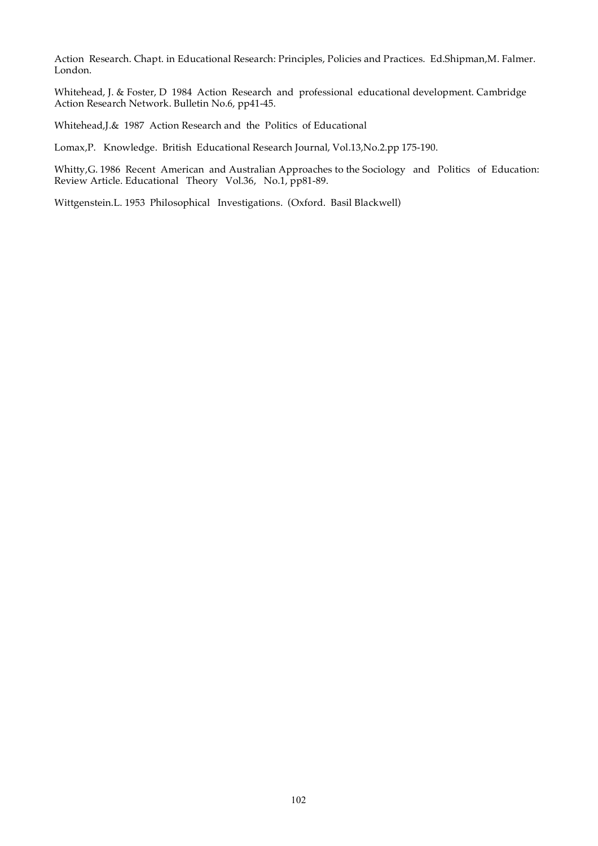Action Research. Chapt. in Educational Research: Principles, Policies and Practices. Ed.Shipman,M. Falmer. London.

Whitehead, J. & Foster, D 1984 Action Research and professional educational development. Cambridge Action Research Network. Bulletin No.6, pp41-45.

Whitehead,J.& 1987 Action Research and the Politics of Educational

Lomax,P. Knowledge. British Educational Research Journal, Vol.13,No.2.pp 175-190.

Whitty,G. 1986 Recent American and Australian Approaches to the Sociology and Politics of Education: Review Article. Educational Theory Vol.36, No.1, pp81-89.

Wittgenstein.L. 1953 Philosophical Investigations. (Oxford. Basil Blackwell)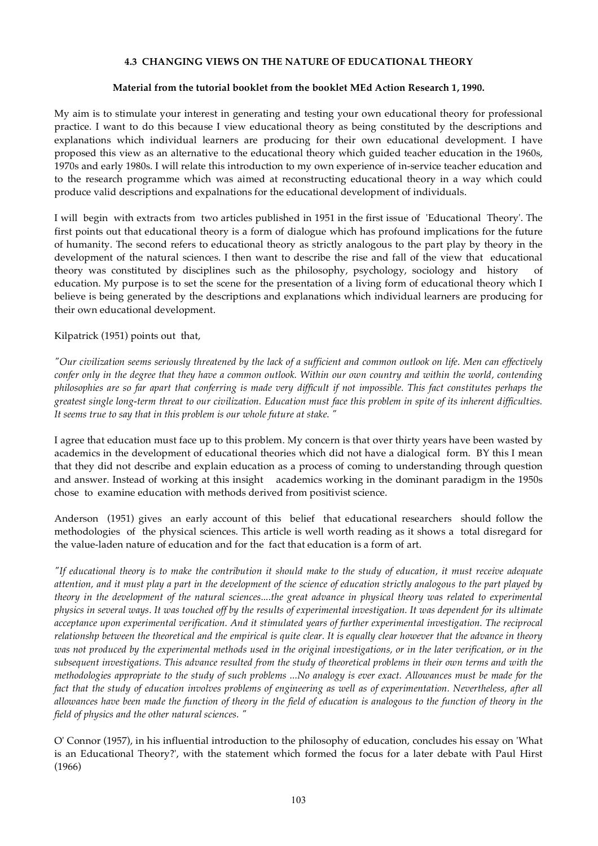# **4.3 CHANGING VIEWS ON THE NATURE OF EDUCATIONAL THEORY**

# **Material from the tutorial booklet from the booklet MEd Action Research 1, 1990.**

My aim is to stimulate your interest in generating and testing your own educational theory for professional practice. I want to do this because I view educational theory as being constituted by the descriptions and explanations which individual learners are producing for their own educational development. I have proposed this view as an alternative to the educational theory which guided teacher education in the 1960s, 1970s and early 1980s. I will relate this introduction to my own experience of in-service teacher education and to the research programme which was aimed at reconstructing educational theory in a way which could produce valid descriptions and expalnations for the educational development of individuals.

I will begin with extracts from two articles published in 1951 in the first issue of 'Educational Theory'. The first points out that educational theory is a form of dialogue which has profound implications for the future of humanity. The second refers to educational theory as strictly analogous to the part play by theory in the development of the natural sciences. I then want to describe the rise and fall of the view that educational theory was constituted by disciplines such as the philosophy, psychology, sociology and history education. My purpose is to set the scene for the presentation of a living form of educational theory which I believe is being generated by the descriptions and explanations which individual learners are producing for their own educational development.

# Kilpatrick (1951) points out that,

"Our civilization seems seriously threatened by the lack of a sufficient and common outlook on life. Men can effectively confer only in the degree that they have a common outlook. Within our own country and within the world, contending philosophies are so far apart that conferring is made very difficult if not impossible. This fact constitutes perhaps the greatest single long-term threat to our civilization. Education must face this problem in spite of its inherent difficulties. *It seems true to say that in this problem is our whole future at stake. "*

I agree that education must face up to this problem. My concern is that over thirty years have been wasted by academics in the development of educational theories which did not have a dialogical form. BY this I mean that they did not describe and explain education as a process of coming to understanding through question and answer. Instead of working at this insight academics working in the dominant paradigm in the 1950s chose to examine education with methods derived from positivist science.

Anderson (1951) gives an early account of this belief that educational researchers should follow the methodologies of the physical sciences. This article is well worth reading as it shows a total disregard for the value-laden nature of education and for the fact that education is a form of art.

"If educational theory is to make the contribution it should make to the study of education, it must receive adequate attention, and it must play a part in the development of the science of education strictly analogous to the part played by theory in the development of the natural sciences....the great advance in physical theory was related to experimental physics in several ways. It was touched off by the results of experimental investigation. It was dependent for its ultimate *acceptance upon experimental verification. And it stimulated years of further experimental investigation. The reciprocal* relationshp between the theoretical and the empirical is quite clear. It is equally clear however that the advance in theory was not produced by the experimental methods used in the original investigations, or in the later verification, or in the subsequent investigations. This advance resulted from the study of theoretical problems in their own terms and with the methodologies appropriate to the study of such problems ...No analogy is ever exact. Allowances must be made for the fact that the study of education involves problems of engineering as well as of experimentation. Nevertheless, after all allowances have been made the function of theory in the field of education is analogous to the function of theory in the *field of physics and the other natural sciences. "*

O' Connor (1957), in his influential introduction to the philosophy of education, concludes his essay on 'What is an Educational Theory?', with the statement which formed the focus for a later debate with Paul Hirst (1966)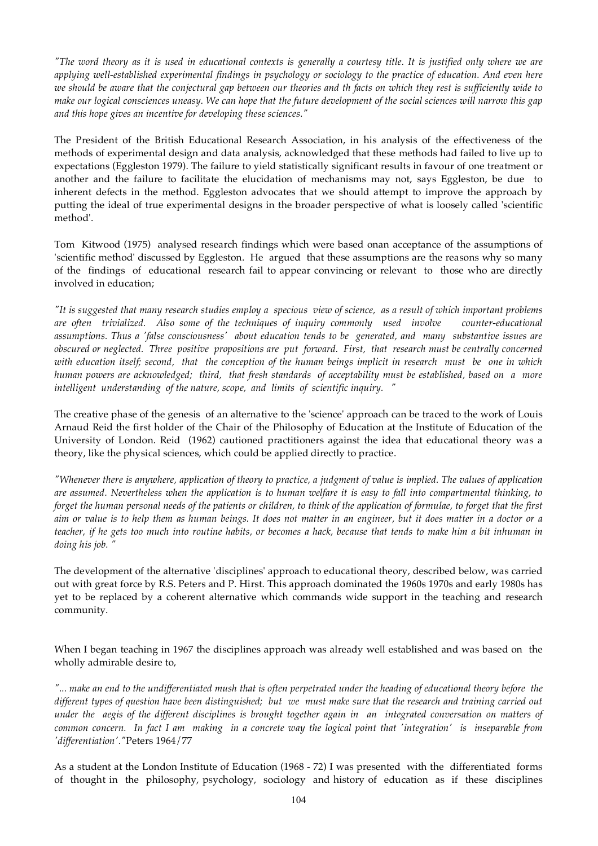"The word theory as it is used in educational contexts is generally a courtesy title. It is justified only where we are applying well-established experimental findings in psychology or sociology to the practice of education. And even here we should be aware that the conjectural gap between our theories and th facts on which they rest is sufficiently wide to make our logical consciences uneasy. We can hope that the future development of the social sciences will narrow this gap *and this hope gives an incentive for developing these sciences."*

The President of the British Educational Research Association, in his analysis of the effectiveness of the methods of experimental design and data analysis, acknowledged that these methods had failed to live up to expectations (Eggleston 1979). The failure to yield statistically significant results in favour of one treatment or another and the failure to facilitate the elucidation of mechanisms may not, says Eggleston, be due to inherent defects in the method. Eggleston advocates that we should attempt to improve the approach by putting the ideal of true experimental designs in the broader perspective of what is loosely called 'scientific method'.

Tom Kitwood (1975) analysed research findings which were based onan acceptance of the assumptions of 'scientific method' discussed by Eggleston. He argued that these assumptions are the reasons why so many of the findings of educational research fail to appear convincing or relevant to those who are directly involved in education;

"It is suggested that many research studies employ a specious view of science, as a result of which important problems *are often trivialized. Also some of the techniques of inquiry commonly used involve counter-educational assumptions. Thus a 'false consciousness' about education tends to be generated, and many substantive issues are* obscured or neglected. Three positive propositions are put forward. First, that research must be centrally concerned with education itself; second, that the conception of the human beings implicit in research must be one in which human powers are acknowledged; third, that fresh standards of acceptability must be established, based on a more *intelligent understanding of the nature, scope, and limits of scientific inquiry. "*

The creative phase of the genesis of an alternative to the 'science' approach can be traced to the work of Louis Arnaud Reid the first holder of the Chair of the Philosophy of Education at the Institute of Education of the University of London. Reid (1962) cautioned practitioners against the idea that educational theory was a theory, like the physical sciences, which could be applied directly to practice.

"Whenever there is anywhere, application of theory to practice, a judgment of value is implied. The values of application are assumed. Nevertheless when the application is to human welfare it is easy to fall into compartmental thinking, to forget the human personal needs of the patients or children, to think of the application of formulae, to forget that the first aim or value is to help them as human beings. It does not matter in an engineer, but it does matter in a doctor or a teacher, if he gets too much into routine habits, or becomes a hack, because that tends to make him a bit inhuman in *doing his job. "*

The development of the alternative 'disciplines' approach to educational theory, described below, was carried out with great force by R.S. Peters and P. Hirst. This approach dominated the 1960s 1970s and early 1980s has yet to be replaced by a coherent alternative which commands wide support in the teaching and research community.

When I began teaching in 1967 the disciplines approach was already well established and was based on the wholly admirable desire to,

"... make an end to the undifferentiated mush that is often perpetrated under the heading of educational theory before the different types of question have been distinguished; but we must make sure that the research and training carried out under the aegis of the different disciplines is brought together again in an integrated conversation on matters of common concern. In fact I am making in a concrete way the logical point that 'integration' is inseparable from *'differentiation'."*Peters 1964/77

As a student at the London Institute of Education (1968 - 72) I was presented with the differentiated forms of thought in the philosophy, psychology, sociology and history of education as if these disciplines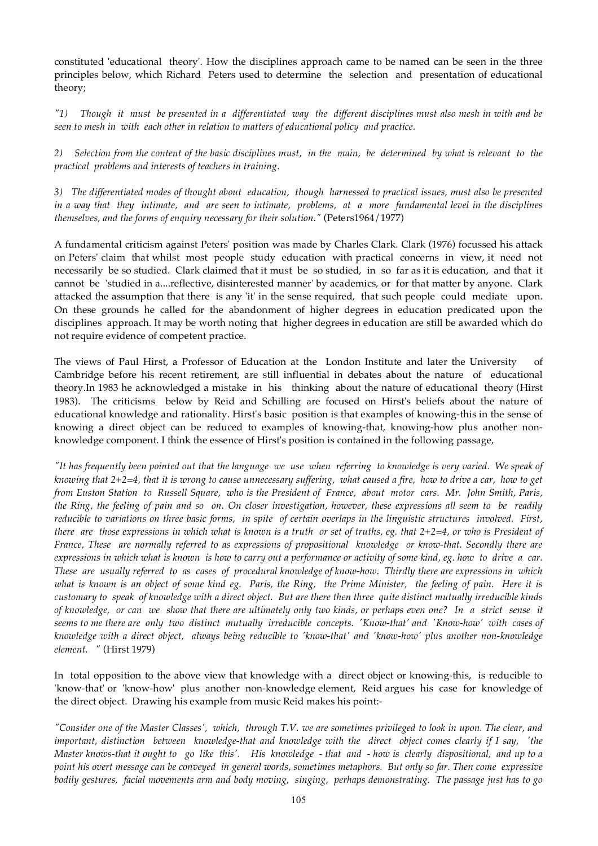constituted 'educational theory'. How the disciplines approach came to be named can be seen in the three principles below, which Richard Peters used to determine the selection and presentation of educational theory;

"1) Though it must be presented in a differentiated way the different disciplines must also mesh in with and be *seen to mesh in with each other in relation to matters of educational policy and practice.*

2) Selection from the content of the basic disciplines must, in the main, be determined by what is relevant to the *practical problems and interests of teachers in training.*

3) The differentiated modes of thought about education, though harnessed to practical issues, must also be presented in a way that they intimate, and are seen to intimate, problems, at a more fundamental level in the disciplines *themselves, and the forms of enquiry necessary for their solution."* (Peters1964/1977)

A fundamental criticism against Peters' position was made by Charles Clark. Clark (1976) focussed his attack on Peters' claim that whilst most people study education with practical concerns in view, it need not necessarily be so studied. Clark claimed that it must be so studied, in so far as it is education, and that it cannot be 'studied in a....reflective, disinterested manner' by academics, or for that matter by anyone. Clark attacked the assumption that there is any 'it' in the sense required, that such people could mediate upon. On these grounds he called for the abandonment of higher degrees in education predicated upon the disciplines approach. It may be worth noting that higher degrees in education are still be awarded which do not require evidence of competent practice.

The views of Paul Hirst, a Professor of Education at the London Institute and later the University of Cambridge before his recent retirement, are still influential in debates about the nature of educational theory.In 1983 he acknowledged a mistake in his thinking about the nature of educational theory (Hirst 1983). The criticisms below by Reid and Schilling are focused on Hirst's beliefs about the nature of educational knowledge and rationality. Hirst's basic position is that examples of knowing-this in the sense of knowing a direct object can be reduced to examples of knowing-that, knowing-how plus another nonknowledge component. I think the essence of Hirst's position is contained in the following passage,

"It has frequently been pointed out that the language we use when referring to knowledge is very varied. We speak of knowing that  $2+2=4$ , that it is wrong to cause unnecessary suffering, what caused a fire, how to drive a car, how to get from Euston Station to Russell Square, who is the President of France, about motor cars. Mr. John Smith, Paris, the Ring, the feeling of pain and so on. On closer investigation, however, these expressions all seem to be readily reducible to variations on three basic forms, in spite of certain overlaps in the linguistic structures involved. First, there are those expressions in which what is known is a truth or set of truths, eg. that  $2+2=4$ , or who is President of France, These are normally referred to as expressions of propositional knowledge or know-that. Secondly there are expressions in which what is known is how to carry out a performance or activity of some kind, eg. how to drive a car. These are usually referred to as cases of procedural knowledge of know-how. Thirdly there are expressions in which what is known is an object of some kind eg. Paris, the Ring, the Prime Minister, the feeling of pain. Here it is customary to speak of knowledge with a direct object. But are there then three quite distinct mutually irreducible kinds of knowledge, or can we show that there are ultimately only two kinds, or perhaps even one? In a strict sense it seems to me there are only two distinct mutually irreducible concepts. 'Know-that' and 'Know-how' with cases of *knowledge with a direct object, always being reducible to 'know-that' and 'know-how' plus another non-knowledge element. "* (Hirst 1979)

In total opposition to the above view that knowledge with a direct object or knowing-this, is reducible to 'know-that' or 'know-how' plus another non-knowledge element, Reid argues his case for knowledge of the direct object. Drawing his example from music Reid makes his point:-

"Consider one of the Master Classes', which, through T.V. we are sometimes privileged to look in upon. The clear, and *important, distinction between knowledge-that and knowledge with the direct object comes clearly if I say, 'the* Master knows-that it ought to go like this'. His knowledge - that and - how is clearly dispositional, and up to a point his overt message can be conveyed in general words, sometimes metaphors. But only so far. Then come expressive bodily gestures, facial movements arm and body moving, singing, perhaps demonstrating. The passage just has to go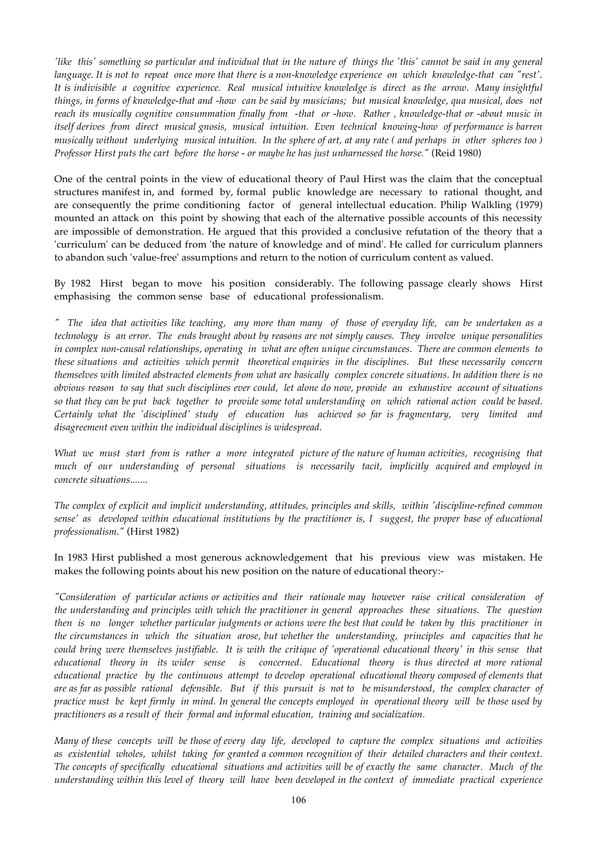like this' something so particular and individual that in the nature of things the 'this' cannot be said in any general language. It is not to repeat once more that there is a non-knowledge experience on which knowledge-that can "rest'. It is indivisible a cognitive experience. Real musical intuitive knowledge is direct as the arrow. Many insightful things, in forms of knowledge-that and -how can be said by musicians; but musical knowledge, qua musical, does not reach its musically cognitive consummation finally from -that or -how. Rather, knowledge-that or -about music in *itself derives from direct musical gnosis, musical intuition. Even technical knowing-how of performance is barren* musically without underlying musical intuition. In the sphere of art, at any rate (and perhaps in other spheres too) *Professor Hirst puts the cart before the horse - or maybe he has just unharnessed the horse."* (Reid 1980)

One of the central points in the view of educational theory of Paul Hirst was the claim that the conceptual structures manifest in, and formed by, formal public knowledge are necessary to rational thought, and are consequently the prime conditioning factor of general intellectual education. Philip Walkling (1979) mounted an attack on this point by showing that each of the alternative possible accounts of this necessity are impossible of demonstration. He argued that this provided a conclusive refutation of the theory that a 'curriculum' can be deduced from 'the nature of knowledge and of mind'. He called for curriculum planners to abandon such 'value-free' assumptions and return to the notion of curriculum content as valued.

By 1982 Hirst began to move his position considerably. The following passage clearly shows Hirst emphasising the common sense base of educational professionalism.

" The idea that activities like teaching, any more than many of those of everyday life, can be undertaken as a technology is an error. The ends brought about by reasons are not simply causes. They involve unique personalities in complex non-causal relationships, operating in what are often unique circumstances. There are common elements to *these situations and activities which permit theoretical enquiries in the disciplines. But these necessarily concern* themselves with limited abstracted elements from what are basically complex concrete situations. In addition there is no obvious reason to say that such disciplines ever could, let alone do now, provide an exhaustive account of situations so that they can be put back together to provide some total understanding on which rational action could be based. *Certainly what the 'disciplined' study of education has achieved so far is fragmentary, very limited and disagreement even within the individual disciplines is widespread.*

What we must start from is rather a more integrated picture of the nature of human activities, recognising that *much of our understanding of personal situations is necessarily tacit, implicitly acquired and employed in concrete situations.......*

*The complex of explicit and implicit understanding, attitudes, principles and skills, within 'discipline-refined common* sense' as developed within educational institutions by the practitioner is, I suggest, the proper base of educational *professionalism."* (Hirst 1982)

In 1983 Hirst published a most generous acknowledgement that his previous view was mistaken. He makes the following points about his new position on the nature of educational theory:-

*"Consideration of particular actions or activities and their rationale may however raise critical consideration of the understanding and principles with which the practitioner in general approaches these situations. The question* then is no longer whether particular judgments or actions were the best that could be taken by this practitioner in *the circumstances in which the situation arose, but whether the understanding, principles and capacities that he* could bring were themselves justifiable. It is with the critique of 'operational educational theory' in this sense that *educational theory in its wider sense is concerned. Educational theory is thus directed at more rational educational practice by the continuous attempt to develop operational educational theory composed of elements that* are as far as possible rational defensible. But if this pursuit is not to be misunderstood, the complex character of practice must be kept firmly in mind. In general the concepts employed in operational theory will be those used by *practitioners as a result of their formal and informal education, training and socialization.*

Many of these concepts will be those of every day life, developed to capture the complex situations and activities as existential wholes, whilst taking for granted a common recognition of their detailed characters and their context. The concepts of specifically educational situations and activities will be of exactly the same character. Much of the understanding within this level of theory will have been developed in the context of immediate practical experience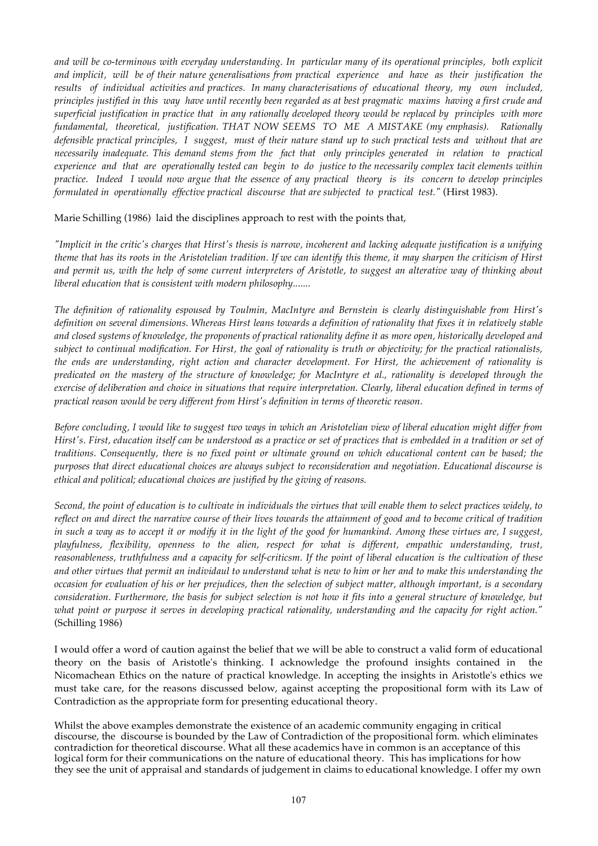and will be co-terminous with everyday understanding. In particular many of its operational principles, both explicit and implicit, will be of their nature generalisations from practical experience and have as their justification the *results of individual activities and practices. In many characterisations of educational theory, my own included,* principles justified in this way have until recently been regarded as at best pragmatic maxims having a first crude and superficial justification in practice that in any rationally developed theory would be replaced by principles with more *fundamental, theoretical, justification. THAT NOW SEEMS TO ME A MISTAKE (my emphasis). Rationally* defensible practical principles. I suggest, must of their nature stand up to such practical tests and without that are *necessarily inadequate. This demand stems from the fact that only principles generated in relation to practical* experience and that are operationally tested can begin to do justice to the necessarily complex tacit elements within practice. Indeed I would now argue that the essence of any practical theory is its concern to develop principles *formulated in operationally effective practical discourse that are subjected to practical test."* (Hirst 1983).

Marie Schilling (1986) laid the disciplines approach to rest with the points that,

"Implicit in the critic's charges that Hirst's thesis is narrow, incoherent and lacking adequate justification is a unifying theme that has its roots in the Aristotelian tradition. If we can identify this theme, it may sharpen the criticism of Hirst and permit us, with the help of some current interpreters of Aristotle, to suggest an alterative way of thinking about *liberal education that is consistent with modern philosophy.......*

*The definition of rationality espoused by Toulmin, MacIntyre and Bernstein is clearly distinguishable from Hirst's* definition on several dimensions. Whereas Hirst leans towards a definition of rationality that fixes it in relatively stable and closed systems of knowledge, the proponents of practical rationality define it as more open, historically developed and subject to continual modification. For Hirst, the goal of rationality is truth or objectivity; for the practical rationalists, *the ends are understanding, right action and character development. For Hirst, the achievement of rationality is* predicated on the mastery of the structure of knowledge; for MacIntyre et al., rationality is developed through the exercise of deliberation and choice in situations that require interpretation. Clearly, liberal education defined in terms of *practical reason would be very different from Hirst's definition in terms of theoretic reason.*

Before concluding, I would like to suggest two ways in which an Aristotelian view of liberal education might differ from Hirst's. First, education itself can be understood as a practice or set of practices that is embedded in a tradition or set of traditions. Consequently, there is no fixed point or ultimate ground on which educational content can be based; the purposes that direct educational choices are always subject to reconsideration and negotiation. Educational discourse is *ethical and political; educational choices are justified by the giving of reasons.*

Second, the point of education is to cultivate in individuals the virtues that will enable them to select practices widely, to reflect on and direct the narrative course of their lives towards the attainment of good and to become critical of tradition in such a way as to accept it or modify it in the light of the good for humankind. Among these virtues are, I suggest, *playfulness, flexibility, openness to the alien, respect for what is different, empathic understanding, trust,* reasonableness, truthfulness and a capacity for self-criticsm. If the point of liberal education is the cultivation of these and other virtues that permit an individaul to understand what is new to him or her and to make this understanding the occasion for evaluation of his or her prejudices, then the selection of subject matter, although important, is a secondary consideration. Furthermore, the basis for subject selection is not how it fits into a general structure of knowledge, but what point or purpose it serves in developing practical rationality, understanding and the capacity for right action." (Schilling 1986)

I would offer a word of caution against the belief that we will be able to construct a valid form of educational theory on the basis of Aristotle's thinking. I acknowledge the profound insights contained in the Nicomachean Ethics on the nature of practical knowledge. In accepting the insights in Aristotle's ethics we must take care, for the reasons discussed below, against accepting the propositional form with its Law of Contradiction as the appropriate form for presenting educational theory.

Whilst the above examples demonstrate the existence of an academic community engaging in critical discourse, the discourse is bounded by the Law of Contradiction of the propositional form. which eliminates contradiction for theoretical discourse. What all these academics have in common is an acceptance of this logical form for their communications on the nature of educational theory. This has implications for how they see the unit of appraisal and standards of judgement in claims to educational knowledge. I offer my own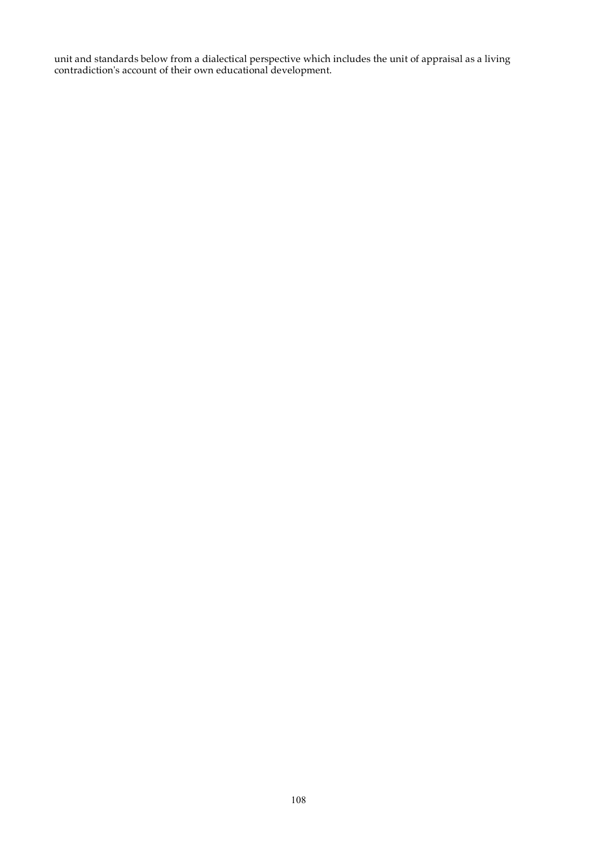unit and standards below from a dialectical perspective which includes the unit of appraisal as a living contradiction's account of their own educational development.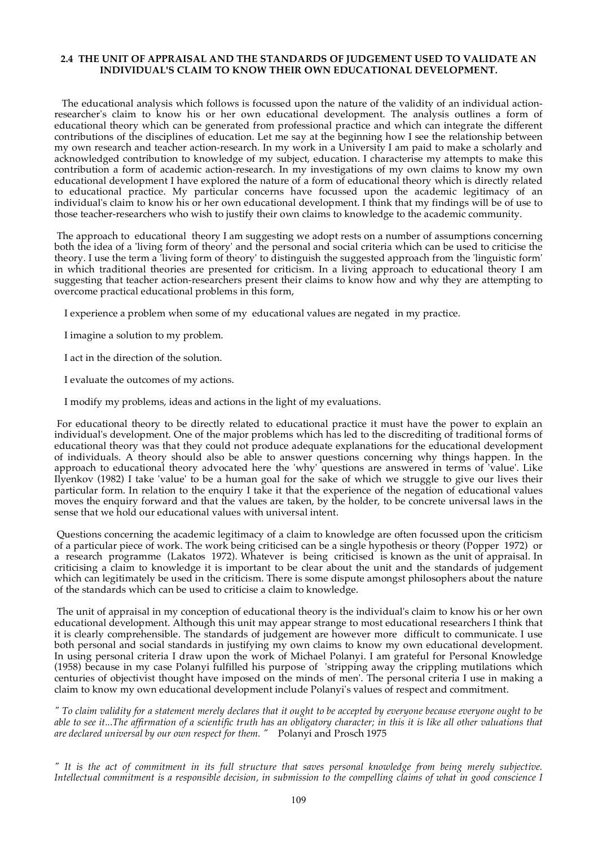## **2.4 THE UNIT OF APPRAISAL AND THE STANDARDS OF JUDGEMENT USED TO VALIDATE AN INDIVIDUAL'S CLAIM TO KNOW THEIR OWN EDUCATIONAL DEVELOPMENT.**

The educational analysis which follows is focussed upon the nature of the validity of an individual actionresearcher's claim to know his or her own educational development. The analysis outlines a form of educational theory which can be generated from professional practice and which can integrate the different contributions of the disciplines of education. Let me say at the beginning how I see the relationship between my own research and teacher action-research. In my work in a University I am paid to make a scholarly and acknowledged contribution to knowledge of my subject, education. I characterise my attempts to make this contribution a form of academic action-research. In my investigations of my own claims to know my own educational development I have explored the nature of a form of educational theory which is directly related to educational practice. My particular concerns have focussed upon the academic legitimacy of an individual's claim to know his or her own educational development. I think that my findings will be of use to those teacher-researchers who wish to justify their own claims to knowledge to the academic community.

The approach to educational theory I am suggesting we adopt rests on a number of assumptions concerning both the idea of a 'living form of theory' and the personal and social criteria which can be used to criticise the theory. I use the term a 'living form of theory' to distinguish the suggested approach from the 'linguistic form' in which traditional theories are presented for criticism. In a living approach to educational theory I am suggesting that teacher action-researchers present their claims to know how and why they are attempting to overcome practical educational problems in this form,

I experience a problem when some of my educational values are negated in my practice.

I imagine a solution to my problem.

I act in the direction of the solution.

I evaluate the outcomes of my actions.

I modify my problems, ideas and actions in the light of my evaluations.

For educational theory to be directly related to educational practice it must have the power to explain an individual's development. One of the major problems which has led to the discrediting of traditional forms of educational theory was that they could not produce adequate explanations for the educational development of individuals. A theory should also be able to answer questions concerning why things happen. In the approach to educational theory advocated here the 'why' questions are answered in terms of 'value'. Like Ilyenkov (1982) I take 'value' to be a human goal for the sake of which we struggle to give our lives their particular form. In relation to the enquiry I take it that the experience of the negation of educational values moves the enquiry forward and that the values are taken, by the holder, to be concrete universal laws in the sense that we hold our educational values with universal intent.

Questions concerning the academic legitimacy of a claim to knowledge are often focussed upon the criticism of a particular piece of work. The work being criticised can be a single hypothesis or theory (Popper 1972) or a research programme (Lakatos 1972). Whatever is being criticised is known as the unit of appraisal. In criticising a claim to knowledge it is important to be clear about the unit and the standards of judgement which can legitimately be used in the criticism. There is some dispute amongst philosophers about the nature of the standards which can be used to criticise a claim to knowledge.

The unit of appraisal in my conception of educational theory is the individual's claim to know his or her own educational development. Although this unit may appear strange to most educational researchers I think that it is clearly comprehensible. The standards of judgement are however more difficult to communicate. I use both personal and social standards in justifying my own claims to know my own educational development. In using personal criteria I draw upon the work of Michael Polanyi. I am grateful for Personal Knowledge (1958) because in my case Polanyi fulfilled his purpose of 'stripping away the crippling mutilations which centuries of objectivist thought have imposed on the minds of men'. The personal criteria I use in making a claim to know my own educational development include Polanyi's values of respect and commitment.

" To claim validity for a statement merely declares that it ought to be accepted by everyone because everyone ought to be able to see it...The affirmation of a scientific truth has an obligatory character; in this it is like all other valuations that *are declared universal by our own respect for them. "* Polanyi and Prosch 1975

" It is the act of commitment in its full structure that saves personal knowledge from being merely subjective. Intellectual commitment is a responsible decision, in submission to the compelling claims of what in good conscience I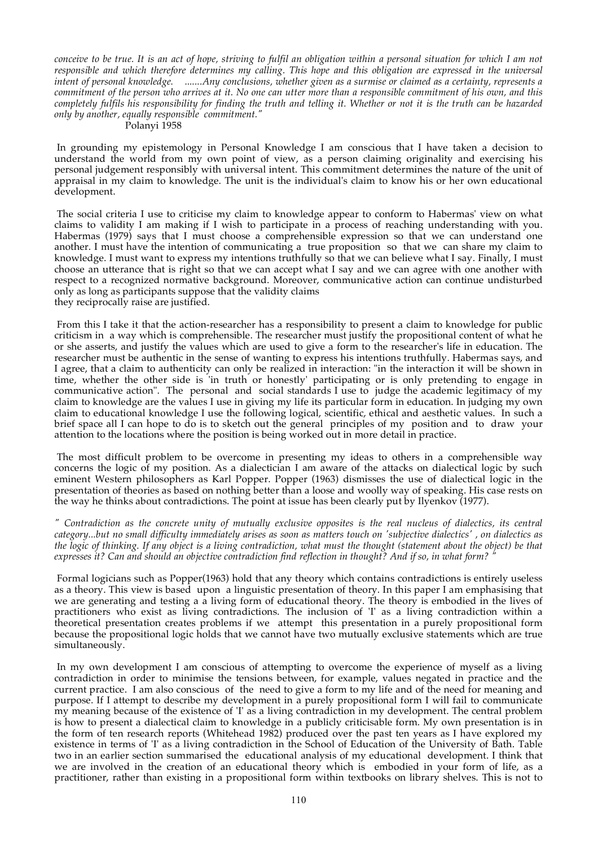conceive to be true. It is an act of hope, striving to fulfil an obligation within a personal situation for which I am not responsible and which therefore determines my calling. This hope and this obligation are expressed in the universal intent of personal knowledge. .......Any conclusions, whether given as a surmise or claimed as a certainty, represents a commitment of the person who arrives at it. No one can utter more than a responsible commitment of his own, and this completely fulfils his responsibility for finding the truth and telling it. Whether or not it is the truth can be hazarded *only by another, equally responsible commitment."*

Polanyi 1958

In grounding my epistemology in Personal Knowledge I am conscious that I have taken a decision to understand the world from my own point of view, as a person claiming originality and exercising his personal judgement responsibly with universal intent. This commitment determines the nature of the unit of appraisal in my claim to knowledge. The unit is the individual's claim to know his or her own educational development.

The social criteria I use to criticise my claim to knowledge appear to conform to Habermas' view on what claims to validity I am making if I wish to participate in a process of reaching understanding with you. Habermas (1979) says that I must choose a comprehensible expression so that we can understand one another. I must have the intention of communicating a true proposition so that we can share my claim to knowledge. I must want to express my intentions truthfully so that we can believe what I say. Finally, I must choose an utterance that is right so that we can accept what I say and we can agree with one another with respect to a recognized normative background. Moreover, communicative action can continue undisturbed only as long as participants suppose that the validity claims

they reciprocally raise are justified.

From this I take it that the action-researcher has a responsibility to present a claim to knowledge for public criticism in a way which is comprehensible. The researcher must justify the propositional content of what he or she asserts, and justify the values which are used to give a form to the researcher's life in education. The researcher must be authentic in the sense of wanting to express his intentions truthfully. Habermas says, and I agree, that a claim to authenticity can only be realized in interaction: "in the interaction it will be shown in time, whether the other side is 'in truth or honestly' participating or is only pretending to engage in communicative action". The personal and social standards I use to judge the academic legitimacy of my claim to knowledge are the values I use in giving my life its particular form in education. In judging my own claim to educational knowledge I use the following logical, scientific, ethical and aesthetic values. In such a brief space all I can hope to do is to sketch out the general principles of my position and to draw your attention to the locations where the position is being worked out in more detail in practice.

The most difficult problem to be overcome in presenting my ideas to others in a comprehensible way concerns the logic of my position. As a dialectician I am aware of the attacks on dialectical logic by such eminent Western philosophers as Karl Popper. Popper (1963) dismisses the use of dialectical logic in the presentation of theories as based on nothing better than a loose and woolly way of speaking. His case rests on the way he thinks about contradictions. The point at issue has been clearly put by Ilyenkov (1977).

" Contradiction as the concrete unity of mutually exclusive opposites is the real nucleus of dialectics, its central category...but no small difficulty immediately arises as soon as matters touch on 'subjective dialectics', on dialectics as the logic of thinking. If any object is a living contradiction, what must the thought (statement about the object) be that expresses it? Can and should an objective contradiction find reflection in thought? And if so, in what form?

Formal logicians such as Popper(1963) hold that any theory which contains contradictions is entirely useless as a theory. This view is based upon a linguistic presentation of theory. In this paper I am emphasising that we are generating and testing a a living form of educational theory. The theory is embodied in the lives of practitioners who exist as living contradictions. The inclusion of 'I' as a living contradiction within a theoretical presentation creates problems if we attempt this presentation in a purely propositional form because the propositional logic holds that we cannot have two mutually exclusive statements which are true simultaneously.

In my own development I am conscious of attempting to overcome the experience of myself as a living contradiction in order to minimise the tensions between, for example, values negated in practice and the current practice. I am also conscious of the need to give a form to my life and of the need for meaning and purpose. If I attempt to describe my development in a purely propositional form I will fail to communicate my meaning because of the existence of 'I' as a living contradiction in my development. The central problem is how to present a dialectical claim to knowledge in a publicly criticisable form. My own presentation is in the form of ten research reports (Whitehead 1982) produced over the past ten years as I have explored my existence in terms of 'I' as a living contradiction in the School of Education of the University of Bath. Table two in an earlier section summarised the educational analysis of my educational development. I think that we are involved in the creation of an educational theory which is embodied in your form of life, as a practitioner, rather than existing in a propositional form within textbooks on library shelves. This is not to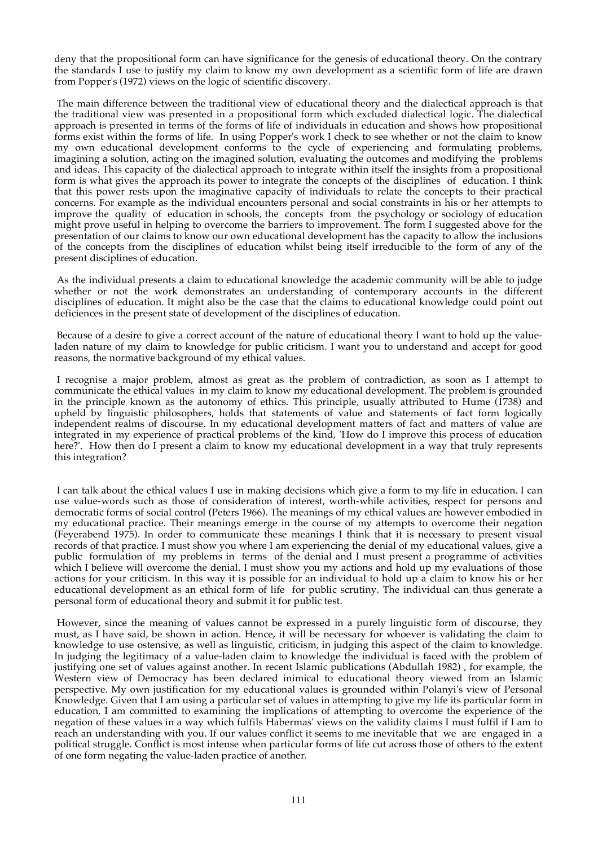deny that the propositional form can have significance for the genesis of educational theory. On the contrary the standards I use to justify my claim to know my own development as a scientific form of life are drawn from Popper's (1972) views on the logic of scientific discovery.

The main difference between the traditional view of educational theory and the dialectical approach is that the traditional view was presented in a propositional form which excluded dialectical logic. The dialectical approach is presented in terms of the forms of life of individuals in education and shows how propositional forms exist within the forms of life. In using Popper's work I check to see whether or not the claim to know my own educational development conforms to the cycle of experiencing and formulating problems, imagining a solution, acting on the imagined solution, evaluating the outcomes and modifying the problems and ideas. This capacity of the dialectical approach to integrate within itself the insights from a propositional form is what gives the approach its power to integrate the concepts of the disciplines of education. I think that this power rests upon the imaginative capacity of individuals to relate the concepts to their practical concerns. For example as the individual encounters personal and social constraints in his or her attempts to improve the quality of education in schools, the concepts from the psychology or sociology of education might prove useful in helping to overcome the barriers to improvement. The form I suggested above for the presentation of our claims to know our own educational development has the capacity to allow the inclusions of the concepts from the disciplines of education whilst being itself irreducible to the form of any of the present disciplines of education.

As the individual presents a claim to educational knowledge the academic community will be able to judge whether or not the work demonstrates an understanding of contemporary accounts in the different disciplines of education. It might also be the case that the claims to educational knowledge could point out deficiences in the present state of development of the disciplines of education.

Because of a desire to give a correct account of the nature of educational theory I want to hold up the valueladen nature of my claim to knowledge for public criticism. I want you to understand and accept for good reasons, the normative background of my ethical values.

I recognise a major problem, almost as great as the problem of contradiction, as soon as I attempt to communicate the ethical values in my claim to know my educational development. The problem is grounded in the principle known as the autonomy of ethics. This principle, usually attributed to Hume (1738) and upheld by linguistic philosophers, holds that statements of value and statements of fact form logically independent realms of discourse. In my educational development matters of fact and matters of value are integrated in my experience of practical problems of the kind, 'How do I improve this process of education here?'. How then do I present a claim to know my educational development in a way that truly represents this integration?

I can talk about the ethical values I use in making decisions which give a form to my life in education. I can use value-words such as those of consideration of interest, worth-while activities, respect for persons and democratic forms of social control (Peters 1966). The meanings of my ethical values are however embodied in my educational practice. Their meanings emerge in the course of my attempts to overcome their negation (Feyerabend 1975). In order to communicate these meanings I think that it is necessary to present visual records of that practice. I must show you where I am experiencing the denial of my educational values, give a public formulation of my problems in terms of the denial and I must present a programme of activities which I believe will overcome the denial. I must show you my actions and hold up my evaluations of those actions for your criticism. In this way it is possible for an individual to hold up a claim to know his or her educational development as an ethical form of life for public scrutiny. The individual can thus generate a personal form of educational theory and submit it for public test.

However, since the meaning of values cannot be expressed in a purely linguistic form of discourse, they must, as I have said, be shown in action. Hence, it will be necessary for whoever is validating the claim to knowledge to use ostensive, as well as linguistic, criticism, in judging this aspect of the claim to knowledge. In judging the legitimacy of a value-laden claim to knowledge the individual is faced with the problem of justifying one set of values against another. In recent Islamic publications (Abdullah 1982) , for example, the Western view of Democracy has been declared inimical to educational theory viewed from an Islamic perspective. My own justification for my educational values is grounded within Polanyi's view of Personal Knowledge. Given that I am using a particular set of values in attempting to give my life its particular form in education, I am committed to examining the implications of attempting to overcome the experience of the negation of these values in a way which fulfils Habermas' views on the validity claims I must fulfil if I am to reach an understanding with you. If our values conflict it seems to me inevitable that we are engaged in a political struggle. Conflict is most intense when particular forms of life cut across those of others to the extent of one form negating the value-laden practice of another.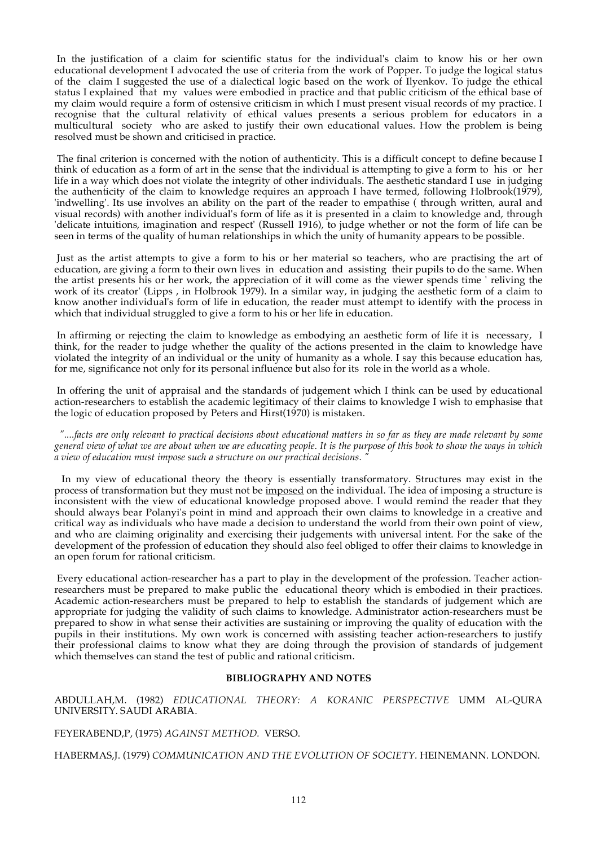In the justification of a claim for scientific status for the individual's claim to know his or her own educational development I advocated the use of criteria from the work of Popper. To judge the logical status of the claim I suggested the use of a dialectical logic based on the work of Ilyenkov. To judge the ethical status I explained that my values were embodied in practice and that public criticism of the ethical base of my claim would require a form of ostensive criticism in which I must present visual records of my practice. I recognise that the cultural relativity of ethical values presents a serious problem for educators in a multicultural society who are asked to justify their own educational values. How the problem is being resolved must be shown and criticised in practice.

The final criterion is concerned with the notion of authenticity. This is a difficult concept to define because I think of education as a form of art in the sense that the individual is attempting to give a form to his or her life in a way which does not violate the integrity of other individuals. The aesthetic standard I use in judging the authenticity of the claim to knowledge requires an approach I have termed, following Holbrook(1979), 'indwelling'. Its use involves an ability on the part of the reader to empathise ( through written, aural and visual records) with another individual's form of life as it is presented in a claim to knowledge and, through 'delicate intuitions, imagination and respect' (Russell 1916), to judge whether or not the form of life can be seen in terms of the quality of human relationships in which the unity of humanity appears to be possible.

Just as the artist attempts to give a form to his or her material so teachers, who are practising the art of education, are giving a form to their own lives in education and assisting their pupils to do the same. When the artist presents his or her work, the appreciation of it will come as the viewer spends time ' reliving the work of its creator' (Lipps, in Holbrook 1979). In a similar way, in judging the aesthetic form of a claim to know another individual's form of life in education, the reader must attempt to identify with the process in which that individual struggled to give a form to his or her life in education.

In affirming or rejecting the claim to knowledge as embodying an aesthetic form of life it is necessary, I think, for the reader to judge whether the quality of the actions presented in the claim to knowledge have violated the integrity of an individual or the unity of humanity as a whole. I say this because education has, for me, significance not only for its personal influence but also for its role in the world as a whole.

In offering the unit of appraisal and the standards of judgement which I think can be used by educational action-researchers to establish the academic legitimacy of their claims to knowledge I wish to emphasise that the logic of education proposed by Peters and Hirst(1970) is mistaken.

"....facts are only relevant to practical decisions about educational matters in so far as they are made relevant by some general view of what we are about when we are educating people. It is the purpose of this book to show the ways in which *a view of education must impose such a structure on our practical decisions. "*

In my view of educational theory the theory is essentially transformatory. Structures may exist in the process of transformation but they must not be imposed on the individual. The idea of imposing a structure is inconsistent with the view of educational knowledge proposed above. I would remind the reader that they should always bear Polanyi's point in mind and approach their own claims to knowledge in a creative and critical way as individuals who have made a decision to understand the world from their own point of view, and who are claiming originality and exercising their judgements with universal intent. For the sake of the development of the profession of education they should also feel obliged to offer their claims to knowledge in an open forum for rational criticism.

Every educational action-researcher has a part to play in the development of the profession. Teacher actionresearchers must be prepared to make public the educational theory which is embodied in their practices. Academic action-researchers must be prepared to help to establish the standards of judgement which are appropriate for judging the validity of such claims to knowledge. Administrator action-researchers must be prepared to show in what sense their activities are sustaining or improving the quality of education with the pupils in their institutions. My own work is concerned with assisting teacher action-researchers to justify their professional claims to know what they are doing through the provision of standards of judgement which themselves can stand the test of public and rational criticism.

## **BIBLIOGRAPHY AND NOTES**

ABDULLAH,M. (1982) *EDUCATIONAL THEORY: A KORANIC PERSPECTIVE* UMM AL-QURA UNIVERSITY. SAUDI ARABIA.

# FEYERABEND,P, (1975) *AGAINST METHOD.* VERSO.

HABERMAS,J. (1979) *COMMUNICATION AND THE EVOLUTION OF SOCIETY*. HEINEMANN. LONDON.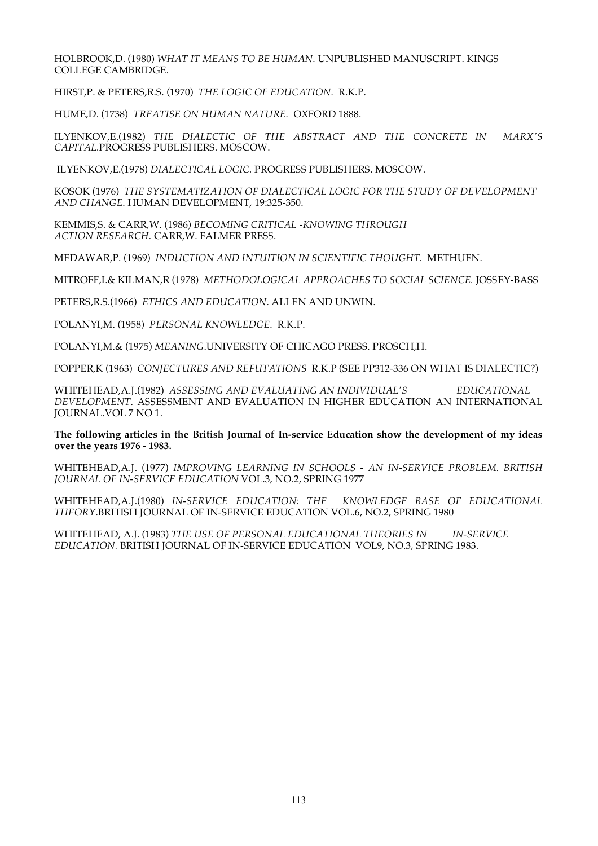HOLBROOK,D. (1980) *WHAT IT MEANS TO BE HUMAN*. UNPUBLISHED MANUSCRIPT. KINGS COLLEGE CAMBRIDGE.

HIRST,P. & PETERS,R.S. (1970) *THE LOGIC OF EDUCATION.* R.K.P.

HUME,D. (1738) *TREATISE ON HUMAN NATURE.* OXFORD 1888.

ILYENKOV,E.(1982) *THE DIALECTIC OF THE ABSTRACT AND THE CONCRETE IN MARX'S CAPITAL.*PROGRESS PUBLISHERS. MOSCOW.

ILYENKOV,E.(1978) *DIALECTICAL LOGIC.* PROGRESS PUBLISHERS. MOSCOW.

KOSOK (1976) *THE SYSTEMATIZATION OF DIALECTICAL LOGIC FOR THE STUDY OF DEVELOPMENT AND CHANGE*. HUMAN DEVELOPMENT, 19:325-350.

KEMMIS,S. & CARR,W. (1986) *BECOMING CRITICAL -KNOWING THROUGH ACTION RESEARCH.* CARR,W. FALMER PRESS.

MEDAWAR,P. (1969) *INDUCTION AND INTUITION IN SCIENTIFIC THOUGHT.* METHUEN.

MITROFF,I.& KILMAN,R (1978) *METHODOLOGICAL APPROACHES TO SOCIAL SCIENCE.* JOSSEY-BASS

PETERS,R.S.(1966) *ETHICS AND EDUCATION*. ALLEN AND UNWIN.

POLANYI,M. (1958) *PERSONAL KNOWLEDGE*. R.K.P.

POLANYI,M.& (1975) *MEANING*.UNIVERSITY OF CHICAGO PRESS. PROSCH,H.

POPPER,K (1963) *CONJECTURES AND REFUTATIONS* R.K.P (SEE PP312-336 ON WHAT IS DIALECTIC?)

WHITEHEAD,A.J.(1982) *ASSESSING AND EVALUATING AN INDIVIDUAL'S EDUCATIONAL DEVELOPMENT*. ASSESSMENT AND EVALUATION IN HIGHER EDUCATION AN INTERNATIONAL JOURNAL.VOL 7 NO 1.

**The following articles in the British Journal of In-service Education show the development of my ideas over the years 1976 - 1983.**

WHITEHEAD,A.J. (1977) *IMPROVING LEARNING IN SCHOOLS - AN IN-SERVICE PROBLEM. BRITISH JOURNAL OF IN-SERVICE EDUCATION* VOL.3, NO.2, SPRING 1977

WHITEHEAD,A.J.(1980) *IN-SERVICE EDUCATION: THE KNOWLEDGE BASE OF EDUCATIONAL THEORY*.BRITISH JOURNAL OF IN-SERVICE EDUCATION VOL.6, NO.2, SPRING 1980

WHITEHEAD, A.J. (1983) *THE USE OF PERSONAL EDUCATIONAL THEORIES IN IN-SERVICE EDUCATION.* BRITISH JOURNAL OF IN-SERVICE EDUCATION VOL9, NO.3, SPRING 1983.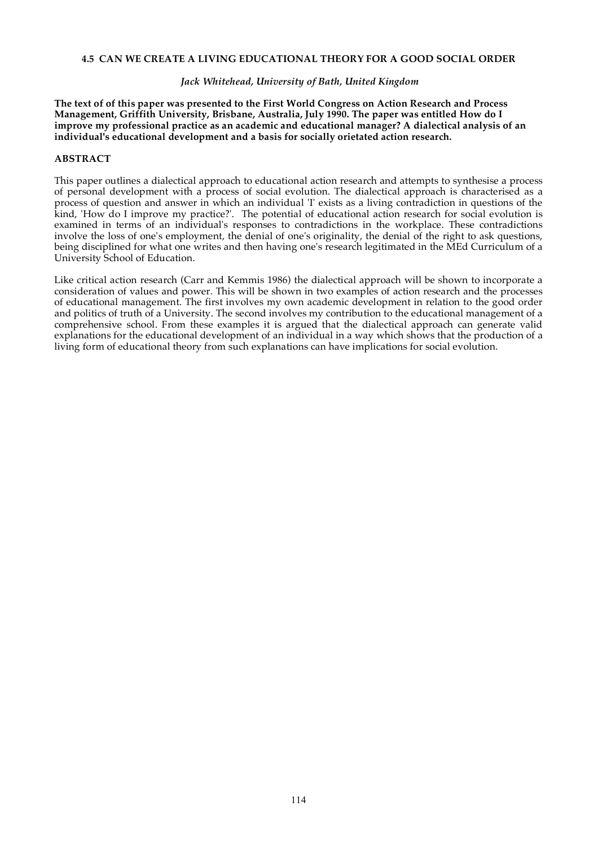### **4.5 CAN WE CREATE A LIVING EDUCATIONAL THEORY FOR A GOOD SOCIAL ORDER**

### *Jack Whitehead, University of Bath, United Kingdom*

**The text of of this paper was presented to the First World Congress on Action Research and Process Management, Griffith University, Brisbane, Australia, July 1990. The paper was entitled How do I improve my professional practice as an academic and educational manager? A dialectical analysis of an individual's educational development and a basis for socially orietated action research.**

#### **ABSTRACT**

This paper outlines a dialectical approach to educational action research and attempts to synthesise a process of personal development with a process of social evolution. The dialectical approach is characterised as a process of question and answer in which an individual 'I' exists as a living contradiction in questions of the kind, 'How do I improve my practice?'. The potential of educational action research for social evolution is examined in terms of an individual's responses to contradictions in the workplace. These contradictions involve the loss of one's employment, the denial of one's originality, the denial of the right to ask questions, being disciplined for what one writes and then having one's research legitimated in the MEd Curriculum of a University School of Education.

Like critical action research (Carr and Kemmis 1986) the dialectical approach will be shown to incorporate a consideration of values and power. This will be shown in two examples of action research and the processes of educational management. The first involves my own academic development in relation to the good order and politics of truth of a University. The second involves my contribution to the educational management of a comprehensive school. From these examples it is argued that the dialectical approach can generate valid explanations for the educational development of an individual in a way which shows that the production of a living form of educational theory from such explanations can have implications for social evolution.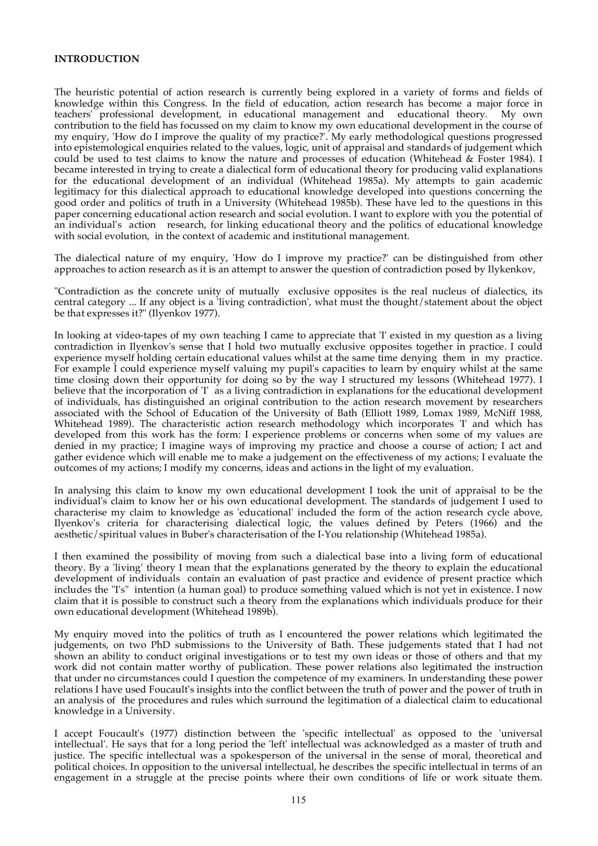## **INTRODUCTION**

The heuristic potential of action research is currently being explored in a variety of forms and fields of knowledge within this Congress. In the field of education, action research has become a major force in teachers' professional development, in educational management and educational theory. My own contribution to the field has focussed on my claim to know my own educational development in the course of my enquiry, 'How do I improve the quality of my practice?'. My early methodological questions progressed into epistemological enquiries related to the values, logic, unit of appraisal and standards of judgement which could be used to test claims to know the nature and processes of education (Whitehead & Foster 1984). I became interested in trying to create a dialectical form of educational theory for producing valid explanations for the educational development of an individual (Whitehead 1985a). My attempts to gain academic legitimacy for this dialectical approach to educational knowledge developed into questions concerning the good order and politics of truth in a University (Whitehead 1985b). These have led to the questions in this paper concerning educational action research and social evolution. I want to explore with you the potential of an individual's action research, for linking educational theory and the politics of educational knowledge with social evolution, in the context of academic and institutional management.

The dialectical nature of my enquiry, 'How do I improve my practice?' can be distinguished from other approaches to action research as it is an attempt to answer the question of contradiction posed by Ilykenkov,

"Contradiction as the concrete unity of mutually exclusive opposites is the real nucleus of dialectics, its central category ... If any object is a 'living contradiction', what must the thought/statement about the object be that expresses it?" (Ilyenkov 1977).

In looking at video-tapes of my own teaching I came to appreciate that 'I' existed in my question as a living contradiction in Ilyenkov's sense that I hold two mutually exclusive opposites together in practice. I could experience myself holding certain educational values whilst at the same time denying them in my practice. For example I could experience myself valuing my pupil's capacities to learn by enquiry whilst at the same time closing down their opportunity for doing so by the way I structured my lessons (Whitehead 1977). I believe that the incorporation of 'I' as a living contradiction in explanations for the educational development of individuals, has distinguished an original contribution to the action research movement by researchers associated with the School of Education of the University of Bath (Elliott 1989, Lomax 1989, McNiff 1988, Whitehead 1989). The characteristic action research methodology which incorporates 'I' and which has developed from this work has the form: I experience problems or concerns when some of my values are denied in my practice; I imagine ways of improving my practice and choose a course of action; I act and gather evidence which will enable me to make a judgement on the effectiveness of my actions; I evaluate the outcomes of my actions; I modify my concerns, ideas and actions in the light of my evaluation.

In analysing this claim to know my own educational development I took the unit of appraisal to be the individual's claim to know her or his own educational development. The standards of judgement I used to characterise my claim to knowledge as 'educational' included the form of the action research cycle above, Ilyenkov's criteria for characterising dialectical logic, the values defined by Peters (1966) and the aesthetic/spiritual values in Buber's characterisation of the I-You relationship (Whitehead 1985a).

I then examined the possibility of moving from such a dialectical base into a living form of educational theory. By a 'living' theory I mean that the explanations generated by the theory to explain the educational development of individuals contain an evaluation of past practice and evidence of present practice which includes the "I's" intention (a human goal) to produce something valued which is not yet in existence. I now claim that it is possible to construct such a theory from the explanations which individuals produce for their own educational development (Whitehead 1989b).

My enquiry moved into the politics of truth as I encountered the power relations which legitimated the judgements, on two PhD submissions to the University of Bath. These judgements stated that I had not shown an ability to conduct original investigations or to test my own ideas or those of others and that my work did not contain matter worthy of publication. These power relations also legitimated the instruction that under no circumstances could I question the competence of my examiners. In understanding these power relations I have used Foucault's insights into the conflict between the truth of power and the power of truth in an analysis of the procedures and rules which surround the legitimation of a dialectical claim to educational knowledge in a University.

I accept Foucault's (1977) distinction between the 'specific intellectual' as opposed to the 'universal intellectual'. He says that for a long period the 'left' intellectual was acknowledged as a master of truth and justice. The specific intellectual was a spokesperson of the universal in the sense of moral, theoretical and political choices. In opposition to the universal intellectual, he describes the specific intellectual in terms of an engagement in a struggle at the precise points where their own conditions of life or work situate them.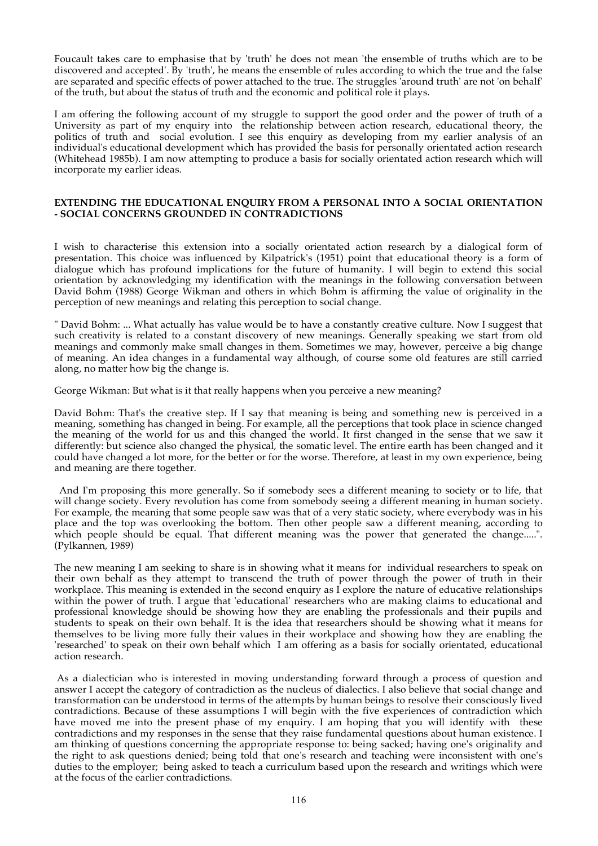Foucault takes care to emphasise that by 'truth' he does not mean 'the ensemble of truths which are to be discovered and accepted'. By 'truth', he means the ensemble of rules according to which the true and the false are separated and specific effects of power attached to the true. The struggles 'around truth' are not 'on behalf' of the truth, but about the status of truth and the economic and political role it plays.

I am offering the following account of my struggle to support the good order and the power of truth of a University as part of my enquiry into the relationship between action research, educational theory, the politics of truth and social evolution. I see this enquiry as developing from my earlier analysis of an individual's educational development which has provided the basis for personally orientated action research (Whitehead 1985b). I am now attempting to produce a basis for socially orientated action research which will incorporate my earlier ideas.

#### **EXTENDING THE EDUCATIONAL ENQUIRY FROM A PERSONAL INTO A SOCIAL ORIENTATION - SOCIAL CONCERNS GROUNDED IN CONTRADICTIONS**

I wish to characterise this extension into a socially orientated action research by a dialogical form of presentation. This choice was influenced by Kilpatrick's (1951) point that educational theory is a form of dialogue which has profound implications for the future of humanity. I will begin to extend this social orientation by acknowledging my identification with the meanings in the following conversation between David Bohm (1988) George Wikman and others in which Bohm is affirming the value of originality in the perception of new meanings and relating this perception to social change.

" David Bohm: ... What actually has value would be to have a constantly creative culture. Now I suggest that such creativity is related to a constant discovery of new meanings. Generally speaking we start from old meanings and commonly make small changes in them. Sometimes we may, however, perceive a big change of meaning. An idea changes in a fundamental way although, of course some old features are still carried along, no matter how big the change is.

George Wikman: But what is it that really happens when you perceive a new meaning?

David Bohm: That's the creative step. If I say that meaning is being and something new is perceived in a meaning, something has changed in being. For example, all the perceptions that took place in science changed the meaning of the world for us and this changed the world. It first changed in the sense that we saw it differently: but science also changed the physical, the somatic level. The entire earth has been changed and it could have changed a lot more, for the better or for the worse. Therefore, at least in my own experience, being and meaning are there together.

And I'm proposing this more generally. So if somebody sees a different meaning to society or to life, that will change society. Every revolution has come from somebody seeing a different meaning in human society. For example, the meaning that some people saw was that of a very static society, where everybody was in his place and the top was overlooking the bottom. Then other people saw a different meaning, according to which people should be equal. That different meaning was the power that generated the change.....". (Pylkannen, 1989)

The new meaning I am seeking to share is in showing what it means for individual researchers to speak on their own behalf as they attempt to transcend the truth of power through the power of truth in their workplace. This meaning is extended in the second enquiry as I explore the nature of educative relationships within the power of truth. I argue that 'educational' researchers who are making claims to educational and professional knowledge should be showing how they are enabling the professionals and their pupils and students to speak on their own behalf. It is the idea that researchers should be showing what it means for themselves to be living more fully their values in their workplace and showing how they are enabling the 'researched' to speak on their own behalf which I am offering as a basis for socially orientated, educational action research.

As a dialectician who is interested in moving understanding forward through a process of question and answer I accept the category of contradiction as the nucleus of dialectics. I also believe that social change and transformation can be understood in terms of the attempts by human beings to resolve their consciously lived contradictions. Because of these assumptions I will begin with the five experiences of contradiction which have moved me into the present phase of my enquiry. I am hoping that you will identify with these contradictions and my responses in the sense that they raise fundamental questions about human existence. I am thinking of questions concerning the appropriate response to: being sacked; having one's originality and the right to ask questions denied; being told that one's research and teaching were inconsistent with one's duties to the employer; being asked to teach a curriculum based upon the research and writings which were at the focus of the earlier contradictions.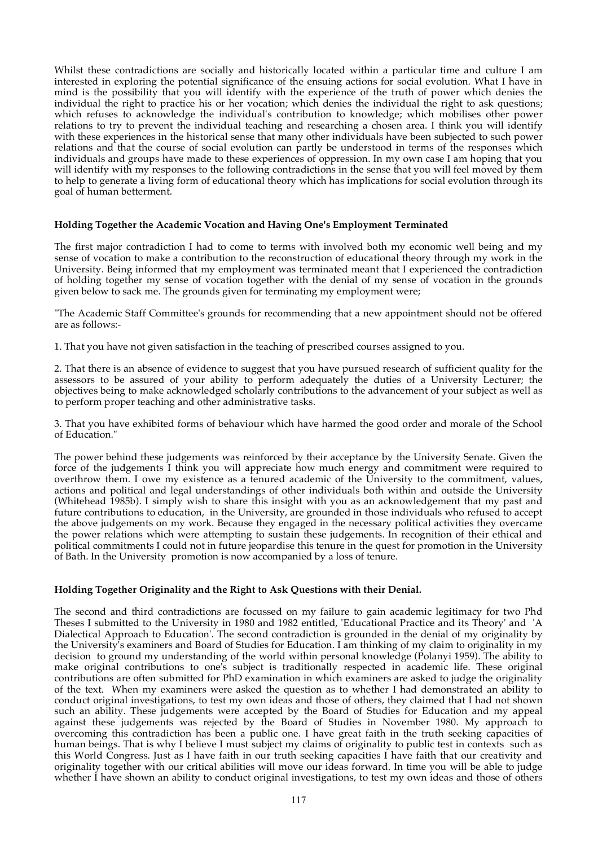Whilst these contradictions are socially and historically located within a particular time and culture I am interested in exploring the potential significance of the ensuing actions for social evolution. What I have in mind is the possibility that you will identify with the experience of the truth of power which denies the individual the right to practice his or her vocation; which denies the individual the right to ask questions; which refuses to acknowledge the individual's contribution to knowledge; which mobilises other power relations to try to prevent the individual teaching and researching a chosen area. I think you will identify with these experiences in the historical sense that many other individuals have been subjected to such power relations and that the course of social evolution can partly be understood in terms of the responses which individuals and groups have made to these experiences of oppression. In my own case I am hoping that you will identify with my responses to the following contradictions in the sense that you will feel moved by them to help to generate a living form of educational theory which has implications for social evolution through its goal of human betterment.

#### **Holding Together the Academic Vocation and Having One's Employment Terminated**

The first major contradiction I had to come to terms with involved both my economic well being and my sense of vocation to make a contribution to the reconstruction of educational theory through my work in the University. Being informed that my employment was terminated meant that I experienced the contradiction of holding together my sense of vocation together with the denial of my sense of vocation in the grounds given below to sack me. The grounds given for terminating my employment were;

"The Academic Staff Committee's grounds for recommending that a new appointment should not be offered are as follows:-

1. That you have not given satisfaction in the teaching of prescribed courses assigned to you.

2. That there is an absence of evidence to suggest that you have pursued research of sufficient quality for the assessors to be assured of your ability to perform adequately the duties of a University Lecturer; the objectives being to make acknowledged scholarly contributions to the advancement of your subject as well as to perform proper teaching and other administrative tasks.

3. That you have exhibited forms of behaviour which have harmed the good order and morale of the School of Education."

The power behind these judgements was reinforced by their acceptance by the University Senate. Given the force of the judgements I think you will appreciate how much energy and commitment were required to overthrow them. I owe my existence as a tenured academic of the University to the commitment, values, actions and political and legal understandings of other individuals both within and outside the University (Whitehead 1985b). I simply wish to share this insight with you as an acknowledgement that my past and future contributions to education, in the University, are grounded in those individuals who refused to accept the above judgements on my work. Because they engaged in the necessary political activities they overcame the power relations which were attempting to sustain these judgements. In recognition of their ethical and political commitments I could not in future jeopardise this tenure in the quest for promotion in the University of Bath. In the University promotion is now accompanied by a loss of tenure.

## **Holding Together Originality and the Right to Ask Questions with their Denial.**

The second and third contradictions are focussed on my failure to gain academic legitimacy for two Phd Theses I submitted to the University in 1980 and 1982 entitled, 'Educational Practice and its Theory' and 'A Dialectical Approach to Education'. The second contradiction is grounded in the denial of my originality by the University's examiners and Board of Studies for Education. I am thinking of my claim to originality in my decision to ground my understanding of the world within personal knowledge (Polanyi 1959). The ability to make original contributions to one's subject is traditionally respected in academic life. These original contributions are often submitted for PhD examination in which examiners are asked to judge the originality of the text. When my examiners were asked the question as to whether I had demonstrated an ability to conduct original investigations, to test my own ideas and those of others, they claimed that I had not shown such an ability. These judgements were accepted by the Board of Studies for Education and my appeal against these judgements was rejected by the Board of Studies in November 1980. My approach to overcoming this contradiction has been a public one. I have great faith in the truth seeking capacities of human beings. That is why I believe I must subject my claims of originality to public test in contexts such as this World Congress. Just as I have faith in our truth seeking capacities I have faith that our creativity and originality together with our critical abilities will move our ideas forward. In time you will be able to judge whether I have shown an ability to conduct original investigations, to test my own ideas and those of others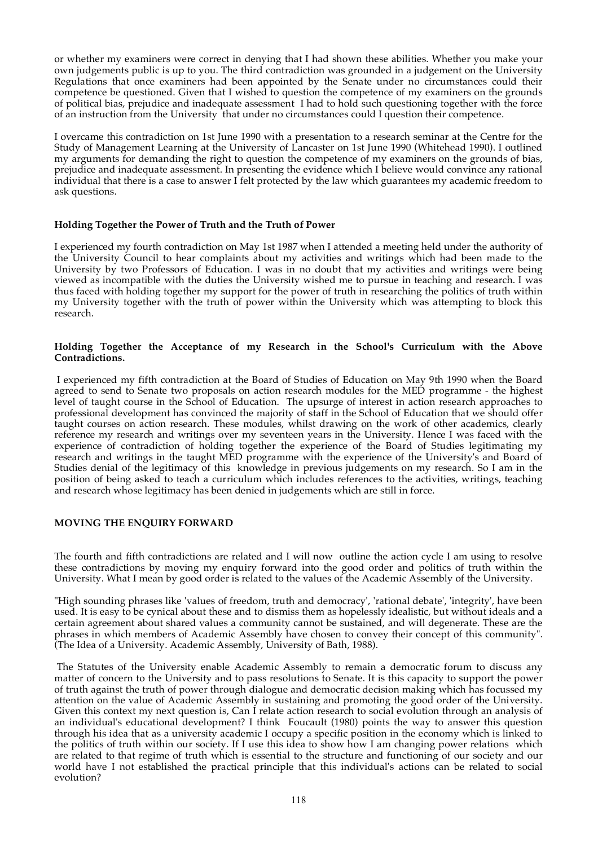or whether my examiners were correct in denying that I had shown these abilities. Whether you make your own judgements public is up to you. The third contradiction was grounded in a judgement on the University Regulations that once examiners had been appointed by the Senate under no circumstances could their competence be questioned. Given that I wished to question the competence of my examiners on the grounds of political bias, prejudice and inadequate assessment I had to hold such questioning together with the force of an instruction from the University that under no circumstances could I question their competence.

I overcame this contradiction on 1st June 1990 with a presentation to a research seminar at the Centre for the Study of Management Learning at the University of Lancaster on 1st June 1990 (Whitehead 1990). I outlined my arguments for demanding the right to question the competence of my examiners on the grounds of bias, prejudice and inadequate assessment. In presenting the evidence which I believe would convince any rational individual that there is a case to answer  $\tilde{\Gamma}$  felt protected by the law which guarantees my academic freedom to ask questions.

# **Holding Together the Power of Truth and the Truth of Power**

I experienced my fourth contradiction on May 1st 1987 when I attended a meeting held under the authority of the University Council to hear complaints about my activities and writings which had been made to the University by two Professors of Education. I was in no doubt that my activities and writings were being viewed as incompatible with the duties the University wished me to pursue in teaching and research. I was thus faced with holding together my support for the power of truth in researching the politics of truth within my University together with the truth of power within the University which was attempting to block this research.

#### **Holding Together the Acceptance of my Research in the School's Curriculum with the Above Contradictions.**

I experienced my fifth contradiction at the Board of Studies of Education on May 9th 1990 when the Board agreed to send to Senate two proposals on action research modules for the MED programme - the highest level of taught course in the School of Education. The upsurge of interest in action research approaches to professional development has convinced the majority of staff in the School of Education that we should offer taught courses on action research. These modules, whilst drawing on the work of other academics, clearly reference my research and writings over my seventeen years in the University. Hence I was faced with the experience of contradiction of holding together the experience of the Board of Studies legitimating my research and writings in the taught MED programme with the experience of the University's and Board of Studies denial of the legitimacy of this knowledge in previous judgements on my research. So I am in the position of being asked to teach a curriculum which includes references to the activities, writings, teaching and research whose legitimacy has been denied in judgements which are still in force.

## **MOVING THE ENQUIRY FORWARD**

The fourth and fifth contradictions are related and I will now outline the action cycle I am using to resolve these contradictions by moving my enquiry forward into the good order and politics of truth within the University. What I mean by good order is related to the values of the Academic Assembly of the University.

"High sounding phrases like 'values of freedom, truth and democracy', 'rational debate', 'integrity', have been used. It is easy to be cynical about these and to dismiss them as hopelessly idealistic, but without ideals and a certain agreement about shared values a community cannot be sustained, and will degenerate. These are the phrases in which members of Academic Assembly have chosen to convey their concept of this community". (The Idea of a University. Academic Assembly, University of Bath, 1988).

The Statutes of the University enable Academic Assembly to remain a democratic forum to discuss any matter of concern to the University and to pass resolutions to Senate. It is this capacity to support the power of truth against the truth of power through dialogue and democratic decision making which has focussed my attention on the value of Academic Assembly in sustaining and promoting the good order of the University. Given this context my next question is, Can I relate action research to social evolution through an analysis of an individual's educational development? I think Foucault (1980) points the way to answer this question through his idea that as a university academic I occupy a specific position in the economy which is linked to the politics of truth within our society. If I use this idea to show how I am changing power relations which are related to that regime of truth which is essential to the structure and functioning of our society and our world have I not established the practical principle that this individual's actions can be related to social evolution?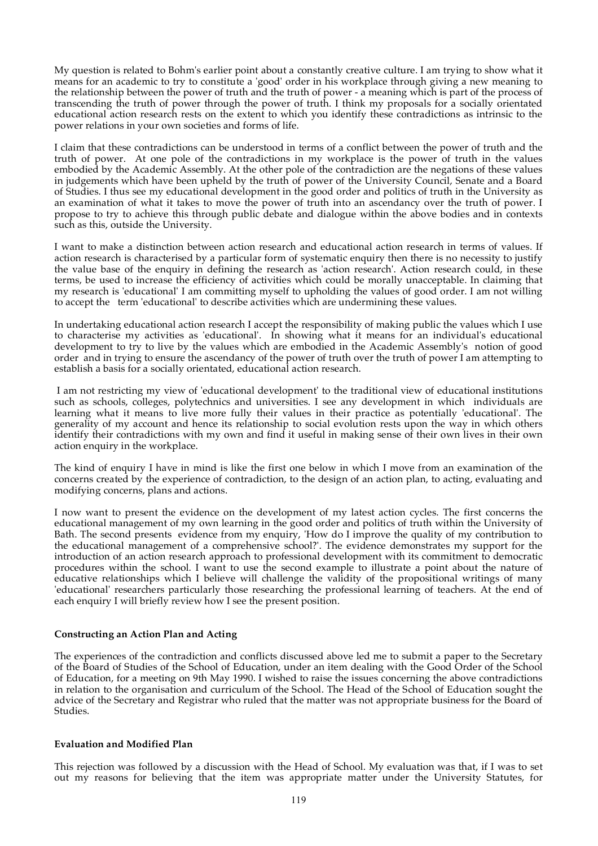My question is related to Bohm's earlier point about a constantly creative culture. I am trying to show what it means for an academic to try to constitute a 'good' order in his workplace through giving a new meaning to the relationship between the power of truth and the truth of power - a meaning which is part of the process of transcending the truth of power through the power of truth. I think my proposals for a socially orientated educational action research rests on the extent to which you identify these contradictions as intrinsic to the power relations in your own societies and forms of life.

I claim that these contradictions can be understood in terms of a conflict between the power of truth and the truth of power. At one pole of the contradictions in my workplace is the power of truth in the values embodied by the Academic Assembly. At the other pole of the contradiction are the negations of these values in judgements which have been upheld by the truth of power of the University Council, Senate and a Board of Studies. I thus see my educational development in the good order and politics of truth in the University as an examination of what it takes to move the power of truth into an ascendancy over the truth of power. I propose to try to achieve this through public debate and dialogue within the above bodies and in contexts such as this, outside the University.

I want to make a distinction between action research and educational action research in terms of values. If action research is characterised by a particular form of systematic enquiry then there is no necessity to justify the value base of the enquiry in defining the research as 'action research'. Action research could, in these terms, be used to increase the efficiency of activities which could be morally unacceptable. In claiming that my research is 'educational' I am committing myself to upholding the values of good order. I am not willing to accept the term 'educational' to describe activities which are undermining these values.

In undertaking educational action research I accept the responsibility of making public the values which I use to characterise my activities as 'educational'. In showing what it means for an individual's educational development to try to live by the values which are embodied in the Academic Assembly's notion of good order and in trying to ensure the ascendancy of the power of truth over the truth of power I am attempting to establish a basis for a socially orientated, educational action research.

I am not restricting my view of 'educational development' to the traditional view of educational institutions such as schools, colleges, polytechnics and universities. I see any development in which individuals are learning what it means to live more fully their values in their practice as potentially 'educational'. The generality of my account and hence its relationship to social evolution rests upon the way in which others identify their contradictions with my own and find it useful in making sense of their own lives in their own action enquiry in the workplace.

The kind of enquiry I have in mind is like the first one below in which I move from an examination of the concerns created by the experience of contradiction, to the design of an action plan, to acting, evaluating and modifying concerns, plans and actions.

I now want to present the evidence on the development of my latest action cycles. The first concerns the educational management of my own learning in the good order and politics of truth within the University of Bath. The second presents evidence from my enquiry, 'How do I improve the quality of my contribution to the educational management of a comprehensive school?'. The evidence demonstrates my support for the introduction of an action research approach to professional development with its commitment to democratic procedures within the school. I want to use the second example to illustrate a point about the nature of educative relationships which I believe will challenge the validity of the propositional writings of many 'educational' researchers particularly those researching the professional learning of teachers. At the end of each enquiry I will briefly review how I see the present position.

## **Constructing an Action Plan and Acting**

The experiences of the contradiction and conflicts discussed above led me to submit a paper to the Secretary of the Board of Studies of the School of Education, under an item dealing with the Good Order of the School of Education, for a meeting on 9th May 1990. I wished to raise the issues concerning the above contradictions in relation to the organisation and curriculum of the School. The Head of the School of Education sought the advice of the Secretary and Registrar who ruled that the matter was not appropriate business for the Board of Studies.

## **Evaluation and Modified Plan**

This rejection was followed by a discussion with the Head of School. My evaluation was that, if I was to set out my reasons for believing that the item was appropriate matter under the University Statutes, for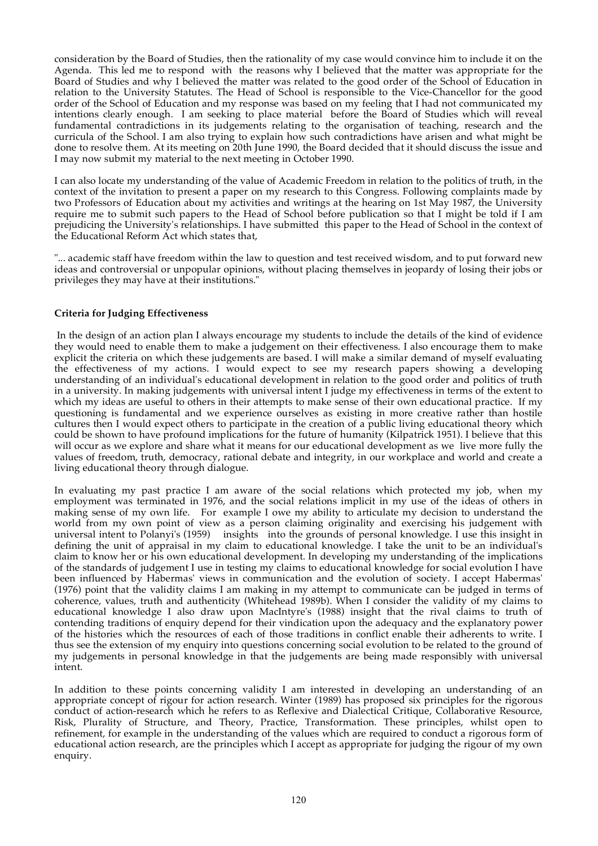consideration by the Board of Studies, then the rationality of my case would convince him to include it on the Agenda. This led me to respond with the reasons why I believed that the matter was appropriate for the Board of Studies and why I believed the matter was related to the good order of the School of Education in relation to the University Statutes. The Head of School is responsible to the Vice-Chancellor for the good order of the School of Education and my response was based on my feeling that I had not communicated my intentions clearly enough. I am seeking to place material before the Board of Studies which will reveal fundamental contradictions in its judgements relating to the organisation of teaching, research and the curricula of the School. I am also trying to explain how such contradictions have arisen and what might be done to resolve them. At its meeting on 20th June 1990, the Board decided that it should discuss the issue and I may now submit my material to the next meeting in October 1990.

I can also locate my understanding of the value of Academic Freedom in relation to the politics of truth, in the context of the invitation to present a paper on my research to this Congress. Following complaints made by two Professors of Education about my activities and writings at the hearing on 1st May 1987, the University require me to submit such papers to the Head of School before publication so that I might be told if I am prejudicing the University's relationships. I have submitted this paper to the Head of School in the context of the Educational Reform Act which states that,

"... academic staff have freedom within the law to question and test received wisdom, and to put forward new ideas and controversial or unpopular opinions, without placing themselves in jeopardy of losing their jobs or privileges they may have at their institutions."

# **Criteria for Judging Effectiveness**

In the design of an action plan I always encourage my students to include the details of the kind of evidence they would need to enable them to make a judgement on their effectiveness. I also encourage them to make explicit the criteria on which these judgements are based. I will make a similar demand of myself evaluating the effectiveness of my actions. I would expect to see my research papers showing a developing understanding of an individual's educational development in relation to the good order and politics of truth in a university. In making judgements with universal intent I judge my effectiveness in terms of the extent to which my ideas are useful to others in their attempts to make sense of their own educational practice. If my questioning is fundamental and we experience ourselves as existing in more creative rather than hostile cultures then I would expect others to participate in the creation of a public living educational theory which could be shown to have profound implications for the future of humanity (Kilpatrick 1951). I believe that this will occur as we explore and share what it means for our educational development as we live more fully the values of freedom, truth, democracy, rational debate and integrity, in our workplace and world and create a living educational theory through dialogue.

In evaluating my past practice I am aware of the social relations which protected my job, when my employment was terminated in 1976, and the social relations implicit in my use of the ideas of others in making sense of my own life. For example I owe my ability to articulate my decision to understand the world from my own point of view as a person claiming originality and exercising his judgement with universal intent to Polanyi's (1959) insights into the grounds of personal knowledge. I use this insight in defining the unit of appraisal in my claim to educational knowledge. I take the unit to be an individual's claim to know her or his own educational development. In developing my understanding of the implications of the standards of judgement I use in testing my claims to educational knowledge for social evolution I have been influenced by Habermas' views in communication and the evolution of society. I accept Habermas' (1976) point that the validity claims I am making in my attempt to communicate can be judged in terms of coherence, values, truth and authenticity (Whitehead 1989b). When I consider the validity of my claims to educational knowledge I also draw upon MacIntyre's (1988) insight that the rival claims to truth of contending traditions of enquiry depend for their vindication upon the adequacy and the explanatory power of the histories which the resources of each of those traditions in conflict enable their adherents to write. I thus see the extension of my enquiry into questions concerning social evolution to be related to the ground of my judgements in personal knowledge in that the judgements are being made responsibly with universal intent.

In addition to these points concerning validity I am interested in developing an understanding of an appropriate concept of rigour for action research. Winter (1989) has proposed six principles for the rigorous conduct of action-research which he refers to as Reflexive and Dialectical Critique, Collaborative Resource, Risk, Plurality of Structure, and Theory, Practice, Transformation. These principles, whilst open to refinement, for example in the understanding of the values which are required to conduct a rigorous form of educational action research, are the principles which I accept as appropriate for judging the rigour of my own enquiry.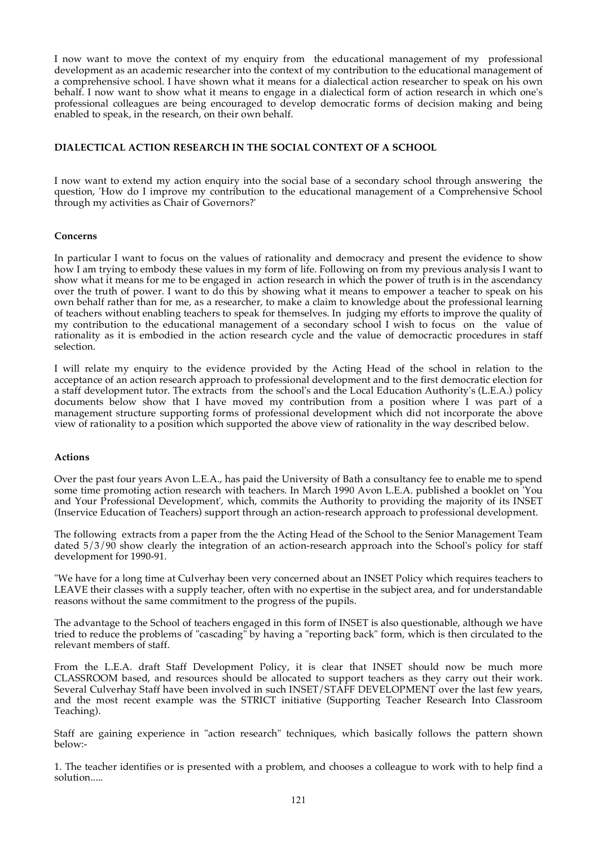I now want to move the context of my enquiry from the educational management of my professional development as an academic researcher into the context of my contribution to the educational management of a comprehensive school. I have shown what it means for a dialectical action researcher to speak on his own behalf. I now want to show what it means to engage in a dialectical form of action research in which one's professional colleagues are being encouraged to develop democratic forms of decision making and being enabled to speak, in the research, on their own behalf.

# **DIALECTICAL ACTION RESEARCH IN THE SOCIAL CONTEXT OF A SCHOOL**

I now want to extend my action enquiry into the social base of a secondary school through answering the question, 'How do I improve my contribution to the educational management of a Comprehensive School through my activities as Chair of Governors?'

## **Concerns**

In particular I want to focus on the values of rationality and democracy and present the evidence to show how I am trying to embody these values in my form of life. Following on from my previous analysis I want to show what it means for me to be engaged in action research in which the power of truth is in the ascendancy over the truth of power. I want to do this by showing what it means to empower a teacher to speak on his own behalf rather than for me, as a researcher, to make a claim to knowledge about the professional learning of teachers without enabling teachers to speak for themselves. In judging my efforts to improve the quality of my contribution to the educational management of a secondary school I wish to focus on the value of rationality as it is embodied in the action research cycle and the value of democractic procedures in staff selection.

I will relate my enquiry to the evidence provided by the Acting Head of the school in relation to the acceptance of an action research approach to professional development and to the first democratic election for a staff development tutor. The extracts from the school's and the Local Education Authority's (L.E.A.) policy documents below show that I have moved my contribution from a position where I was part of a management structure supporting forms of professional development which did not incorporate the above view of rationality to a position which supported the above view of rationality in the way described below.

## **Actions**

Over the past four years Avon L.E.A., has paid the University of Bath a consultancy fee to enable me to spend some time promoting action research with teachers. In March 1990 Avon L.E.A. published a booklet on 'You and Your Professional Development', which, commits the Authority to providing the majority of its INSET (Inservice Education of Teachers) support through an action-research approach to professional development.

The following extracts from a paper from the the Acting Head of the School to the Senior Management Team dated 5/3/90 show clearly the integration of an action-research approach into the School's policy for staff development for 1990-91.

"We have for a long time at Culverhay been very concerned about an INSET Policy which requires teachers to LEAVE their classes with a supply teacher, often with no expertise in the subject area, and for understandable reasons without the same commitment to the progress of the pupils.

The advantage to the School of teachers engaged in this form of INSET is also questionable, although we have tried to reduce the problems of "cascading" by having a "reporting back" form, which is then circulated to the relevant members of staff.

From the L.E.A. draft Staff Development Policy, it is clear that INSET should now be much more CLASSROOM based, and resources should be allocated to support teachers as they carry out their work. Several Culverhay Staff have been involved in such INSET/STAFF DEVELOPMENT over the last few years, and the most recent example was the STRICT initiative (Supporting Teacher Research Into Classroom Teaching).

Staff are gaining experience in "action research" techniques, which basically follows the pattern shown below:-

1. The teacher identifies or is presented with a problem, and chooses a colleague to work with to help find a solution.....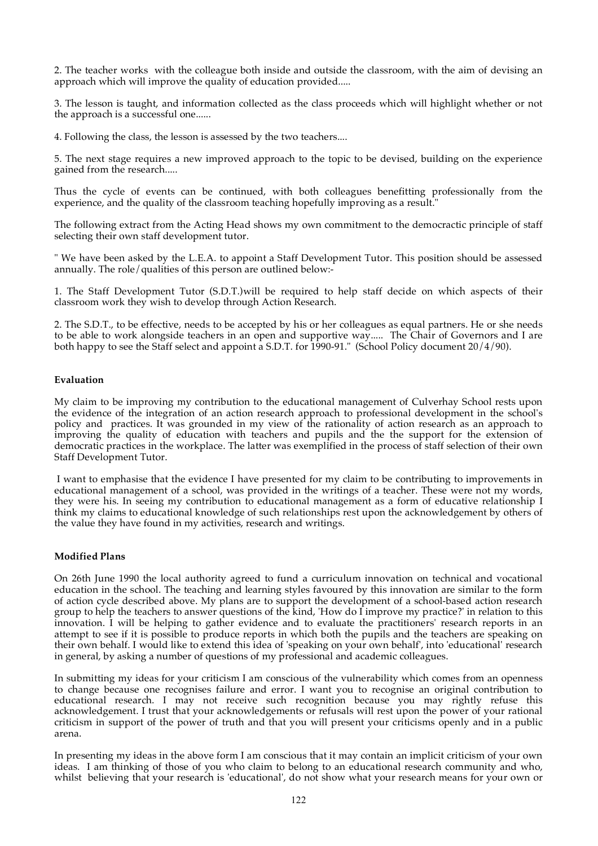2. The teacher works with the colleague both inside and outside the classroom, with the aim of devising an approach which will improve the quality of education provided.....

3. The lesson is taught, and information collected as the class proceeds which will highlight whether or not the approach is a successful one......

4. Following the class, the lesson is assessed by the two teachers....

5. The next stage requires a new improved approach to the topic to be devised, building on the experience gained from the research.....

Thus the cycle of events can be continued, with both colleagues benefitting professionally from the experience, and the quality of the classroom teaching hopefully improving as a result."

The following extract from the Acting Head shows my own commitment to the democractic principle of staff selecting their own staff development tutor.

" We have been asked by the L.E.A. to appoint a Staff Development Tutor. This position should be assessed annually. The role/qualities of this person are outlined below:-

1. The Staff Development Tutor (S.D.T.)will be required to help staff decide on which aspects of their classroom work they wish to develop through Action Research.

2. The S.D.T., to be effective, needs to be accepted by his or her colleagues as equal partners. He or she needs to be able to work alongside teachers in an open and supportive way..... The Chair of Governors and I are both happy to see the Staff select and appoint a S.D.T. for 1990-91." (School Policy document 20/4/90).

## **Evaluation**

My claim to be improving my contribution to the educational management of Culverhay School rests upon the evidence of the integration of an action research approach to professional development in the school's policy and practices. It was grounded in my view of the rationality of action research as an approach to improving the quality of education with teachers and pupils and the the support for the extension of democratic practices in the workplace. The latter was exemplified in the process of staff selection of their own Staff Development Tutor.

I want to emphasise that the evidence I have presented for my claim to be contributing to improvements in educational management of a school, was provided in the writings of a teacher. These were not my words, they were his. In seeing my contribution to educational management as a form of educative relationship I think my claims to educational knowledge of such relationships rest upon the acknowledgement by others of the value they have found in my activities, research and writings.

#### **Modified Plans**

On 26th June 1990 the local authority agreed to fund a curriculum innovation on technical and vocational education in the school. The teaching and learning styles favoured by this innovation are similar to the form of action cycle described above. My plans are to support the development of a school-based action research group to help the teachers to answer questions of the kind, 'How do I improve my practice?' in relation to this innovation. I will be helping to gather evidence and to evaluate the practitioners' research reports in an attempt to see if it is possible to produce reports in which both the pupils and the teachers are speaking on their own behalf. I would like to extend this idea of 'speaking on your own behalf', into 'educational' research in general, by asking a number of questions of my professional and academic colleagues.

In submitting my ideas for your criticism I am conscious of the vulnerability which comes from an openness to change because one recognises failure and error. I want you to recognise an original contribution to educational research. I may not receive such recognition because you may rightly refuse this acknowledgement. I trust that your acknowledgements or refusals will rest upon the power of your rational criticism in support of the power of truth and that you will present your criticisms openly and in a public arena.

In presenting my ideas in the above form I am conscious that it may contain an implicit criticism of your own ideas. I am thinking of those of you who claim to belong to an educational research community and who, whilst believing that your research is 'educational', do not show what your research means for your own or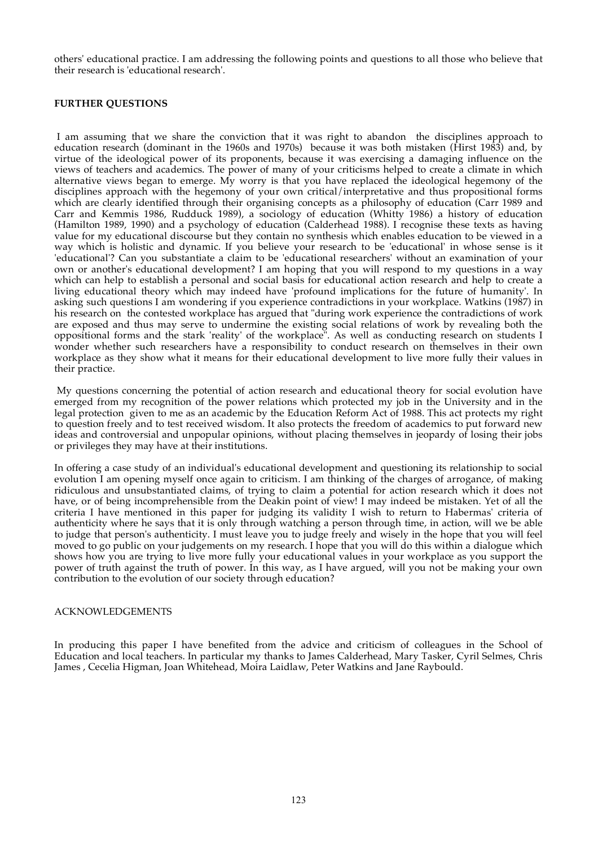others' educational practice. I am addressing the following points and questions to all those who believe that their research is 'educational research'.

## **FURTHER QUESTIONS**

I am assuming that we share the conviction that it was right to abandon the disciplines approach to education research (dominant in the 1960s and 1970s) because it was both mistaken (Hirst 1983) and, by virtue of the ideological power of its proponents, because it was exercising a damaging influence on the views of teachers and academics. The power of many of your criticisms helped to create a climate in which alternative views began to emerge. My worry is that you have replaced the ideological hegemony of the disciplines approach with the hegemony of your own critical/interpretative and thus propositional forms which are clearly identified through their organising concepts as a philosophy of education (Carr 1989 and Carr and Kemmis 1986, Rudduck 1989), a sociology of education (Whitty 1986) a history of education (Hamilton 1989, 1990) and a psychology of education (Calderhead 1988). I recognise these texts as having value for my educational discourse but they contain no synthesis which enables education to be viewed in a way which is holistic and dynamic. If you believe your research to be 'educational' in whose sense is it 'educational'? Can you substantiate a claim to be 'educational researchers' without an examination of your own or another's educational development? I am hoping that you will respond to my questions in a way which can help to establish a personal and social basis for educational action research and help to create a living educational theory which may indeed have 'profound implications for the future of humanity'. In asking such questions I am wondering if you experience contradictions in your workplace. Watkins (1987) in his research on the contested workplace has argued that "during work experience the contradictions of work are exposed and thus may serve to undermine the existing social relations of work by revealing both the oppositional forms and the stark 'reality' of the workplace". As well as conducting research on students I wonder whether such researchers have a responsibility to conduct research on themselves in their own workplace as they show what it means for their educational development to live more fully their values in their practice.

My questions concerning the potential of action research and educational theory for social evolution have emerged from my recognition of the power relations which protected my job in the University and in the legal protection given to me as an academic by the Education Reform Act of 1988. This act protects my right to question freely and to test received wisdom. It also protects the freedom of academics to put forward new ideas and controversial and unpopular opinions, without placing themselves in jeopardy of losing their jobs or privileges they may have at their institutions.

In offering a case study of an individual's educational development and questioning its relationship to social evolution I am opening myself once again to criticism. I am thinking of the charges of arrogance, of making ridiculous and unsubstantiated claims, of trying to claim a potential for action research which it does not have, or of being incomprehensible from the Deakin point of view! I may indeed be mistaken. Yet of all the criteria I have mentioned in this paper for judging its validity I wish to return to Habermas' criteria of authenticity where he says that it is only through watching a person through time, in action, will we be able to judge that person's authenticity. I must leave you to judge freely and wisely in the hope that you will feel moved to go public on your judgements on my research. I hope that you will do this within a dialogue which shows how you are trying to live more fully your educational values in your workplace as you support the power of truth against the truth of power. In this way, as I have argued, will you not be making your own contribution to the evolution of our society through education?

## ACKNOWLEDGEMENTS

In producing this paper I have benefited from the advice and criticism of colleagues in the School of Education and local teachers. In particular my thanks to James Calderhead, Mary Tasker, Cyril Selmes, Chris James , Cecelia Higman, Joan Whitehead, Moira Laidlaw, Peter Watkins and Jane Raybould.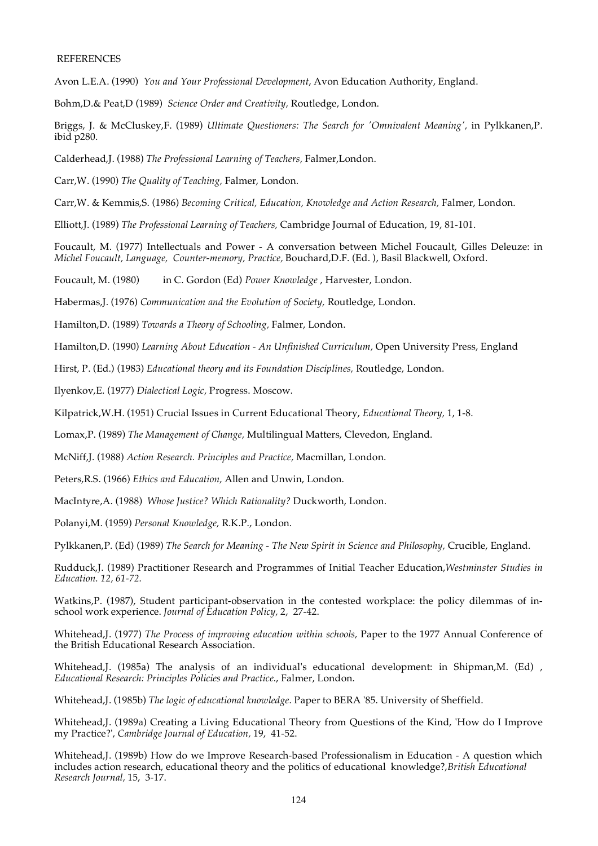#### REFERENCES

Avon L.E.A. (1990) *You and Your Professional Development*, Avon Education Authority, England.

Bohm,D.& Peat,D (1989) *Science Order and Creativity,* Routledge, London.

Briggs, J. & McCluskey,F. (1989) *Ultimate Questioners: The Search for 'Omnivalent Meaning',* in Pylkkanen,P. ibid p280.

Calderhead,J. (1988) *The Professional Learning of Teachers,* Falmer,London.

Carr,W. (1990) *The Quality of Teaching,* Falmer, London.

Carr,W. & Kemmis,S. (1986) *Becoming Critical, Education, Knowledge and Action Research,* Falmer, London.

Elliott,J. (1989) *The Professional Learning of Teachers,* Cambridge Journal of Education, 19, 81-101.

Foucault, M. (1977) Intellectuals and Power - A conversation between Michel Foucault, Gilles Deleuze: in *Michel Foucault, Language, Counter-memory, Practice,* Bouchard,D.F. (Ed. ), Basil Blackwell, Oxford.

Foucault, M. (1980) in C. Gordon (Ed) *Power Knowledge* , Harvester, London.

Habermas,J. (1976) *Communication and the Evolution of Society,* Routledge, London.

Hamilton,D. (1989) *Towards a Theory of Schooling,* Falmer, London.

Hamilton,D. (1990) *Learning About Education - An Unfinished Curriculum,* Open University Press, England

Hirst, P. (Ed.) (1983) *Educational theory and its Foundation Disciplines,* Routledge, London.

Ilyenkov,E. (1977) *Dialectical Logic,* Progress. Moscow.

Kilpatrick,W.H. (1951) Crucial Issues in Current Educational Theory, *Educational Theory,* 1, 1-8.

Lomax,P. (1989) *The Management of Change,* Multilingual Matters, Clevedon, England.

McNiff,J. (1988) *Action Research. Principles and Practice,* Macmillan, London.

Peters,R.S. (1966) *Ethics and Education,* Allen and Unwin, London.

MacIntyre,A. (1988) *Whose Justice? Which Rationality?* Duckworth, London.

Polanyi,M. (1959) *Personal Knowledge,* R.K.P., London.

Pylkkanen,P. (Ed) (1989) *The Search for Meaning - The New Spirit in Science and Philosophy,* Crucible, England.

Rudduck,J. (1989) Practitioner Research and Programmes of Initial Teacher Education,*Westminster Studies in Education. 12, 61-72.*

Watkins,P. (1987), Student participant-observation in the contested workplace: the policy dilemmas of inschool work experience. *Journal of Education Policy,* 2, 27-42.

Whitehead,J. (1977) *The Process of improving education within schools,* Paper to the 1977 Annual Conference of the British Educational Research Association.

Whitehead,J. (1985a) The analysis of an individual's educational development: in Shipman,M. (Ed) , *Educational Research: Principles Policies and Practice.*, Falmer, London.

Whitehead,J. (1985b) *The logic of educational knowledge.* Paper to BERA '85. University of Sheffield.

Whitehead,J. (1989a) Creating a Living Educational Theory from Questions of the Kind, 'How do I Improve my Practice?', *Cambridge Journal of Education,* 19, 41-52.

Whitehead.J. (1989b) How do we Improve Research-based Professionalism in Education - A question which includes action research, educational theory and the politics of educational knowledge?,*British Educational Research Journal,* 15, 3-17.